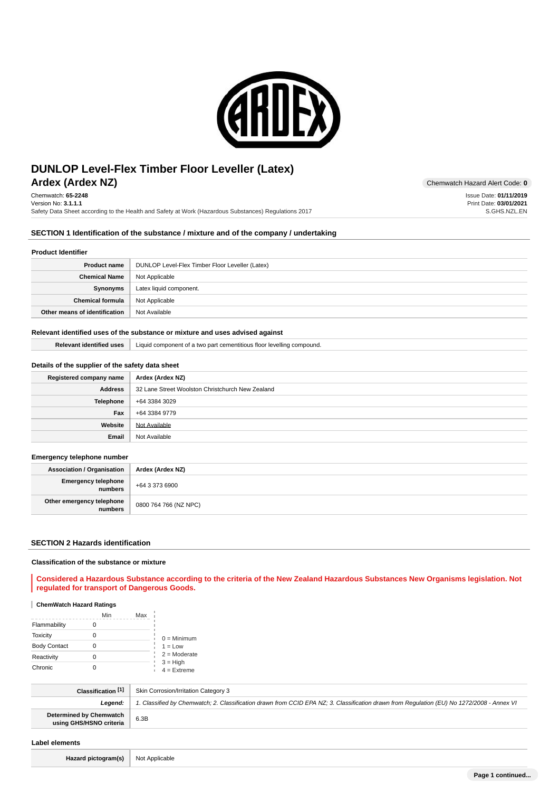

# **Ardex (Ardex NZ)** Chemwatch Hazard Alert Code: 0 **DUNLOP Level-Flex Timber Floor Leveller (Latex)**

Chemwatch: **65-2248** Version No: **3.1.1.1** Safety Data Sheet according to the Health and Safety at Work (Hazardous Substances) Regulations 2017

## **SECTION 1 Identification of the substance / mixture and of the company / undertaking**

## **Product Identifier**

| <b>Product name</b>           | DUNLOP Level-Flex Timber Floor Leveller (Latex) |
|-------------------------------|-------------------------------------------------|
| <b>Chemical Name</b>          | Not Applicable                                  |
| Synonyms                      | Latex liquid component.                         |
| <b>Chemical formula</b>       | Not Applicable                                  |
| Other means of identification | Not Available                                   |

## **Relevant identified uses of the substance or mixture and uses advised against**

| <b>Relevant identified uses</b> | Liquid component of a two part cementitious floor levelling compound. |
|---------------------------------|-----------------------------------------------------------------------|
|---------------------------------|-----------------------------------------------------------------------|

# **Details of the supplier of the safety data sheet**

| Registered company name | Ardex (Ardex NZ)                                 |
|-------------------------|--------------------------------------------------|
| <b>Address</b>          | 32 Lane Street Woolston Christchurch New Zealand |
| <b>Telephone</b>        | +64 3384 3029                                    |
| Fax                     | +64 3384 9779                                    |
| Website                 | Not Available                                    |
| Email                   | Not Available                                    |

## **Emergency telephone number**

| <b>Association / Organisation</b>    | Ardex (Ardex NZ)      |
|--------------------------------------|-----------------------|
| Emergency telephone<br>numbers       | +64 3 373 6900        |
| Other emergency telephone<br>numbers | 0800 764 766 (NZ NPC) |

#### **SECTION 2 Hazards identification**

#### **Classification of the substance or mixture**

## **Considered a Hazardous Substance according to the criteria of the New Zealand Hazardous Substances New Organisms legislation. Not regulated for transport of Dangerous Goods.**

#### **ChemWatch Hazard Ratings**

|                     | Min | Max |                             |
|---------------------|-----|-----|-----------------------------|
| Flammability        |     |     |                             |
| <b>Toxicity</b>     |     |     | $0 =$ Minimum               |
| <b>Body Contact</b> |     |     | $1 = Low$                   |
| Reactivity          |     |     | $2 =$ Moderate              |
| Chronic             |     |     | $3 = High$<br>$4 =$ Extreme |

| Classification [1]                                 | Skin Corrosion/Irritation Category 3                                                                                                       |
|----------------------------------------------------|--------------------------------------------------------------------------------------------------------------------------------------------|
| Leaend:                                            | 1. Classified by Chemwatch; 2. Classification drawn from CCID EPA NZ; 3. Classification drawn from Regulation (EU) No 1272/2008 - Annex VI |
| Determined by Chemwatch<br>using GHS/HSNO criteria | 6.3B                                                                                                                                       |

#### **Label elements**

**Hazard pictogram(s)** Not Applicable

**Page 1 continued...**

Issue Date: **01/11/2019** Print Date: **03/01/2021** S.GHS.NZL.EN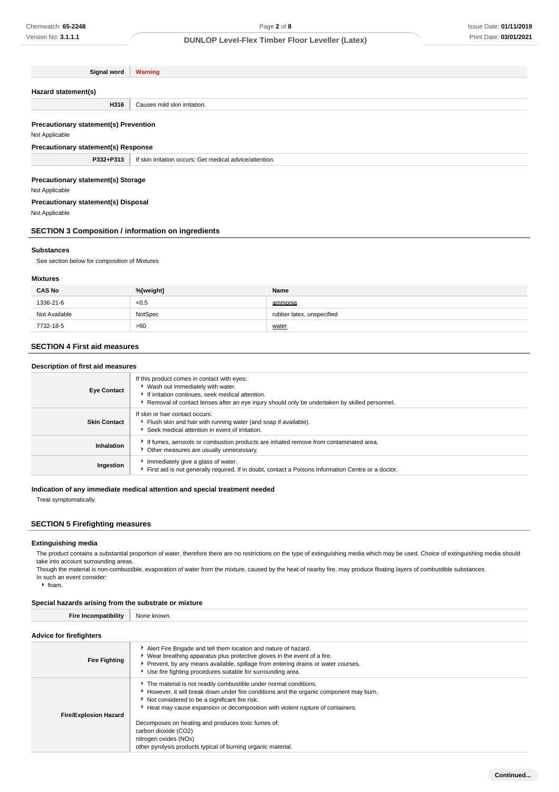| Signal word                                  | <b>Warning</b>                                           |
|----------------------------------------------|----------------------------------------------------------|
|                                              |                                                          |
| Hazard statement(s)                          |                                                          |
| H316                                         | Causes mild skin irritation.                             |
|                                              |                                                          |
| <b>Precautionary statement(s) Prevention</b> |                                                          |
| Not Applicable                               |                                                          |
| <b>Precautionary statement(s) Response</b>   |                                                          |
| P332+P313                                    | If skin irritation occurs: Get medical advice/attention. |
|                                              |                                                          |
| <b>Precautionary statement(s) Storage</b>    |                                                          |
| Not Applicable                               |                                                          |
| <b>Precautionary statement(s) Disposal</b>   |                                                          |
| Not Applicable                               |                                                          |

**SECTION 3 Composition / information on ingredients**

#### **Substances**

See section below for composition of Mixtures

#### **Mixtures**

| <b>CAS No</b> | %[weight] | Name                      |
|---------------|-----------|---------------------------|
| 1336-21-6     | < 0.5     | ammonia                   |
| Not Available | NotSpec   | rubber latex, unspecified |
| 7732-18-5     | >60       | water                     |

# **SECTION 4 First aid measures**

#### **Description of first aid measures**

| <b>Eye Contact</b>  | If this product comes in contact with eyes:<br>▶ Wash out immediately with water.<br>If irritation continues, seek medical attention.<br>Removal of contact lenses after an eye injury should only be undertaken by skilled personnel. |
|---------------------|----------------------------------------------------------------------------------------------------------------------------------------------------------------------------------------------------------------------------------------|
| <b>Skin Contact</b> | If skin or hair contact occurs:<br>Flush skin and hair with running water (and soap if available).<br>Seek medical attention in event of irritation.                                                                                   |
| Inhalation          | If fumes, aerosols or combustion products are inhaled remove from contaminated area.<br>Other measures are usually unnecessary.                                                                                                        |
| Ingestion           | Immediately give a glass of water.<br>First aid is not generally required. If in doubt, contact a Poisons Information Centre or a doctor.                                                                                              |

## **Indication of any immediate medical attention and special treatment needed**

Treat symptomatically.

# **SECTION 5 Firefighting measures**

#### **Extinguishing media**

The product contains a substantial proportion of water, therefore there are no restrictions on the type of extinguishing media which may be used. Choice of extinguishing media should take into account surrounding areas.

Though the material is non-combustible, evaporation of water from the mixture, caused by the heat of nearby fire, may produce floating layers of combustible substances. In such an event consider:

 $h$  foam.

# **Special hazards arising from the substrate or mixture**

| <b>Fire Incompatibility</b> | None known. |
|-----------------------------|-------------|
|-----------------------------|-------------|

# **Advice for firefighters**

| <b>AUVICE IDI TIICHUIREIS</b> |                                                                                                                                                                                                                                                                                                   |  |
|-------------------------------|---------------------------------------------------------------------------------------------------------------------------------------------------------------------------------------------------------------------------------------------------------------------------------------------------|--|
| <b>Fire Fighting</b>          | Alert Fire Brigade and tell them location and nature of hazard.<br>▶ Wear breathing apparatus plus protective gloves in the event of a fire.<br>▶ Prevent, by any means available, spillage from entering drains or water courses.<br>Use fire fighting procedures suitable for surrounding area. |  |
| <b>Fire/Explosion Hazard</b>  | The material is not readily combustible under normal conditions.<br>However, it will break down under fire conditions and the organic component may burn.<br>Not considered to be a significant fire risk.<br>► Heat may cause expansion or decomposition with violent rupture of containers.     |  |
|                               | Decomposes on heating and produces toxic fumes of:<br>carbon dioxide (CO2)<br>nitrogen oxides (NOx)<br>other pyrolysis products typical of burning organic material.                                                                                                                              |  |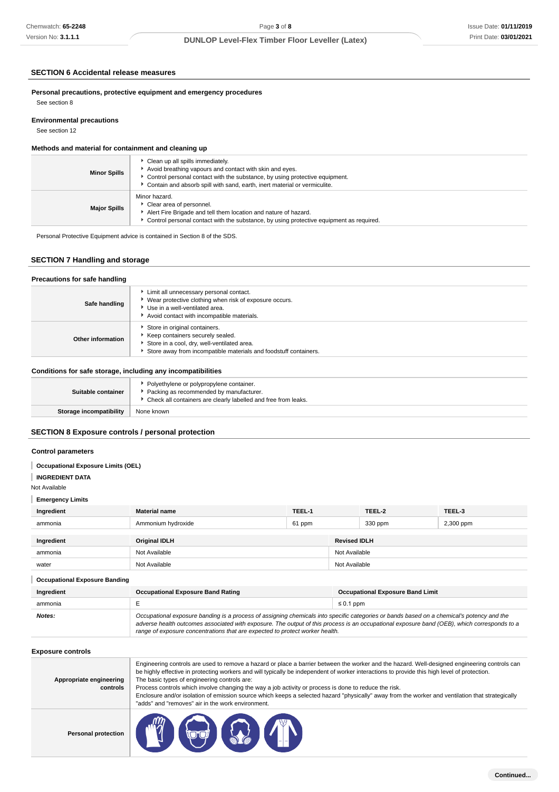# **SECTION 6 Accidental release measures**

#### **Environmental precautions**

# **Methods and material for containment and cleaning up**

| <b>Minor Spills</b> | Clean up all spills immediately.<br>Avoid breathing vapours and contact with skin and eyes.<br>Control personal contact with the substance, by using protective equipment.<br>Contain and absorb spill with sand, earth, inert material or vermiculite. |
|---------------------|---------------------------------------------------------------------------------------------------------------------------------------------------------------------------------------------------------------------------------------------------------|
| <b>Major Spills</b> | Minor hazard.<br>Clear area of personnel.<br>Alert Fire Brigade and tell them location and nature of hazard.<br>• Control personal contact with the substance, by using protective equipment as required.                                               |

# **SECTION 7 Handling and storage**

| Limit all unnecessary personal contact.<br>▶ Wear protective clothing when risk of exposure occurs.<br>Safe handling<br>Use in a well-ventilated area.<br>Avoid contact with incompatible materials.<br>Store in original containers. | Precautions for safe handling |                                  |
|---------------------------------------------------------------------------------------------------------------------------------------------------------------------------------------------------------------------------------------|-------------------------------|----------------------------------|
|                                                                                                                                                                                                                                       |                               |                                  |
| Other information<br>Store in a cool, dry, well-ventilated area.<br>Store away from incompatible materials and foodstuff containers.                                                                                                  |                               | Keep containers securely sealed. |

## **Conditions for safe storage, including any incompatibilities**

| Suitable container             | • Polyethylene or polypropylene container.<br>▶ Packing as recommended by manufacturer.<br>• Check all containers are clearly labelled and free from leaks. |
|--------------------------------|-------------------------------------------------------------------------------------------------------------------------------------------------------------|
| <b>Storage incompatibility</b> | None known                                                                                                                                                  |
|                                |                                                                                                                                                             |

# **SECTION 8 Exposure controls / personal protection**

## **Control parameters**

| Chemwatch: 65-2248                                           |                                                                                                                                                                                                                                                                                                                                                                                                                                                                                                                                                                                                            | Page 3 of 8 |                                         | Issue Date: 01/11/2019 |  |
|--------------------------------------------------------------|------------------------------------------------------------------------------------------------------------------------------------------------------------------------------------------------------------------------------------------------------------------------------------------------------------------------------------------------------------------------------------------------------------------------------------------------------------------------------------------------------------------------------------------------------------------------------------------------------------|-------------|-----------------------------------------|------------------------|--|
| Version No: 3.1.1.1                                          | <b>DUNLOP Level-Flex Timber Floor Leveller (Latex)</b>                                                                                                                                                                                                                                                                                                                                                                                                                                                                                                                                                     |             |                                         | Print Date: 03/01/2021 |  |
|                                                              |                                                                                                                                                                                                                                                                                                                                                                                                                                                                                                                                                                                                            |             |                                         |                        |  |
| <b>SECTION 6 Accidental release measures</b>                 |                                                                                                                                                                                                                                                                                                                                                                                                                                                                                                                                                                                                            |             |                                         |                        |  |
| See section 8                                                | Personal precautions, protective equipment and emergency procedures                                                                                                                                                                                                                                                                                                                                                                                                                                                                                                                                        |             |                                         |                        |  |
| <b>Environmental precautions</b><br>See section 12           |                                                                                                                                                                                                                                                                                                                                                                                                                                                                                                                                                                                                            |             |                                         |                        |  |
| Methods and material for containment and cleaning up         |                                                                                                                                                                                                                                                                                                                                                                                                                                                                                                                                                                                                            |             |                                         |                        |  |
|                                                              | Clean up all spills immediately.                                                                                                                                                                                                                                                                                                                                                                                                                                                                                                                                                                           |             |                                         |                        |  |
| <b>Minor Spills</b>                                          | Avoid breathing vapours and contact with skin and eyes.<br>Control personal contact with the substance, by using protective equipment.<br>Contain and absorb spill with sand, earth, inert material or vermiculite.                                                                                                                                                                                                                                                                                                                                                                                        |             |                                         |                        |  |
| <b>Major Spills</b>                                          | Minor hazard.<br>Clear area of personnel.<br>Alert Fire Brigade and tell them location and nature of hazard.<br>Control personal contact with the substance, by using protective equipment as required.                                                                                                                                                                                                                                                                                                                                                                                                    |             |                                         |                        |  |
|                                                              | Personal Protective Equipment advice is contained in Section 8 of the SDS.                                                                                                                                                                                                                                                                                                                                                                                                                                                                                                                                 |             |                                         |                        |  |
| <b>SECTION 7 Handling and storage</b>                        |                                                                                                                                                                                                                                                                                                                                                                                                                                                                                                                                                                                                            |             |                                         |                        |  |
| Precautions for safe handling                                |                                                                                                                                                                                                                                                                                                                                                                                                                                                                                                                                                                                                            |             |                                         |                        |  |
| Safe handling                                                | Limit all unnecessary personal contact.<br>▶ Wear protective clothing when risk of exposure occurs.<br>Use in a well-ventilated area.<br>Avoid contact with incompatible materials.                                                                                                                                                                                                                                                                                                                                                                                                                        |             |                                         |                        |  |
| <b>Other information</b>                                     | Store in original containers.<br>Keep containers securely sealed.<br>Store in a cool, dry, well-ventilated area.<br>Store away from incompatible materials and foodstuff containers.                                                                                                                                                                                                                                                                                                                                                                                                                       |             |                                         |                        |  |
| Conditions for safe storage, including any incompatibilities |                                                                                                                                                                                                                                                                                                                                                                                                                                                                                                                                                                                                            |             |                                         |                        |  |
| Suitable container                                           | Polyethylene or polypropylene container.<br>Packing as recommended by manufacturer.<br>Check all containers are clearly labelled and free from leaks.                                                                                                                                                                                                                                                                                                                                                                                                                                                      |             |                                         |                        |  |
| Storage incompatibility                                      | None known                                                                                                                                                                                                                                                                                                                                                                                                                                                                                                                                                                                                 |             |                                         |                        |  |
| <b>SECTION 8 Exposure controls / personal protection</b>     |                                                                                                                                                                                                                                                                                                                                                                                                                                                                                                                                                                                                            |             |                                         |                        |  |
| <b>Control parameters</b>                                    |                                                                                                                                                                                                                                                                                                                                                                                                                                                                                                                                                                                                            |             |                                         |                        |  |
| <b>Occupational Exposure Limits (OEL)</b>                    |                                                                                                                                                                                                                                                                                                                                                                                                                                                                                                                                                                                                            |             |                                         |                        |  |
| <b>INGREDIENT DATA</b><br>Not Available                      |                                                                                                                                                                                                                                                                                                                                                                                                                                                                                                                                                                                                            |             |                                         |                        |  |
| <b>Emergency Limits</b>                                      |                                                                                                                                                                                                                                                                                                                                                                                                                                                                                                                                                                                                            |             |                                         |                        |  |
| Ingredient                                                   | <b>Material name</b>                                                                                                                                                                                                                                                                                                                                                                                                                                                                                                                                                                                       | TEEL-1      | TEEL-2                                  | TEEL-3                 |  |
| ammonia                                                      | Ammonium hydroxide                                                                                                                                                                                                                                                                                                                                                                                                                                                                                                                                                                                         | 61 ppm      | 330 ppm                                 | 2,300 ppm              |  |
| Ingredient                                                   |                                                                                                                                                                                                                                                                                                                                                                                                                                                                                                                                                                                                            |             | <b>Revised IDLH</b>                     |                        |  |
| ammonia                                                      | <b>Original IDLH</b><br>Not Available                                                                                                                                                                                                                                                                                                                                                                                                                                                                                                                                                                      |             | Not Available                           |                        |  |
| water                                                        | Not Available                                                                                                                                                                                                                                                                                                                                                                                                                                                                                                                                                                                              |             | Not Available                           |                        |  |
|                                                              |                                                                                                                                                                                                                                                                                                                                                                                                                                                                                                                                                                                                            |             |                                         |                        |  |
| <b>Occupational Exposure Banding</b>                         |                                                                                                                                                                                                                                                                                                                                                                                                                                                                                                                                                                                                            |             |                                         |                        |  |
| Ingredient                                                   | <b>Occupational Exposure Band Rating</b>                                                                                                                                                                                                                                                                                                                                                                                                                                                                                                                                                                   |             | <b>Occupational Exposure Band Limit</b> |                        |  |
| ammonia<br>Notes:                                            | Е<br>$\leq 0.1$ ppm<br>Occupational exposure banding is a process of assigning chemicals into specific categories or bands based on a chemical's potency and the<br>adverse health outcomes associated with exposure. The output of this process is an occupational exposure band (OEB), which corresponds to a<br>range of exposure concentrations that are expected to protect worker health.                                                                                                                                                                                                            |             |                                         |                        |  |
| <b>Exposure controls</b>                                     |                                                                                                                                                                                                                                                                                                                                                                                                                                                                                                                                                                                                            |             |                                         |                        |  |
| Appropriate engineering<br>controls                          | Engineering controls are used to remove a hazard or place a barrier between the worker and the hazard. Well-designed engineering controls can<br>be highly effective in protecting workers and will typically be independent of worker interactions to provide this high level of protection.<br>The basic types of engineering controls are:<br>Process controls which involve changing the way a job activity or process is done to reduce the risk.<br>Enclosure and/or isolation of emission source which keeps a selected hazard "physically" away from the worker and ventilation that strategically |             |                                         |                        |  |
| <b>Personal protection</b>                                   | "adds" and "removes" air in the work environment.<br>AAM                                                                                                                                                                                                                                                                                                                                                                                                                                                                                                                                                   |             |                                         |                        |  |

| Exposure controls                   |                                                                                                                                                                                                                                                                                                                                                                                                                                                                                                                                                                                                                                                                 |
|-------------------------------------|-----------------------------------------------------------------------------------------------------------------------------------------------------------------------------------------------------------------------------------------------------------------------------------------------------------------------------------------------------------------------------------------------------------------------------------------------------------------------------------------------------------------------------------------------------------------------------------------------------------------------------------------------------------------|
| Appropriate engineering<br>controls | Engineering controls are used to remove a hazard or place a barrier between the worker and the hazard. Well-designed engineering controls can<br>be highly effective in protecting workers and will typically be independent of worker interactions to provide this high level of protection.<br>The basic types of engineering controls are:<br>Process controls which involve changing the way a job activity or process is done to reduce the risk.<br>Enclosure and/or isolation of emission source which keeps a selected hazard "physically" away from the worker and ventilation that strategically<br>"adds" and "removes" air in the work environment. |
| <b>Personal protection</b>          | <b>CONSTRUCTION</b>                                                                                                                                                                                                                                                                                                                                                                                                                                                                                                                                                                                                                                             |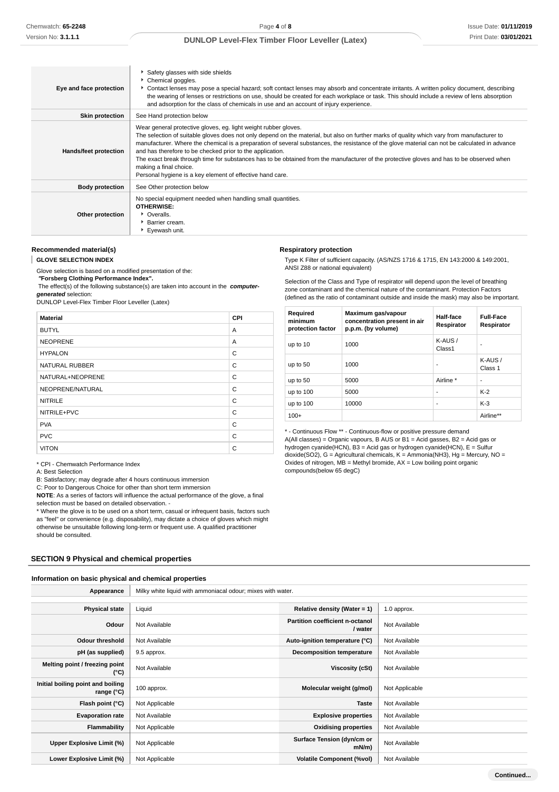| Eye and face protection | Safety glasses with side shields<br>Chemical goggles.<br>Contact lenses may pose a special hazard; soft contact lenses may absorb and concentrate irritants. A written policy document, describing<br>the wearing of lenses or restrictions on use, should be created for each workplace or task. This should include a review of lens absorption<br>and adsorption for the class of chemicals in use and an account of injury experience.                                                                                                                                                                                                                        |
|-------------------------|-------------------------------------------------------------------------------------------------------------------------------------------------------------------------------------------------------------------------------------------------------------------------------------------------------------------------------------------------------------------------------------------------------------------------------------------------------------------------------------------------------------------------------------------------------------------------------------------------------------------------------------------------------------------|
| <b>Skin protection</b>  | See Hand protection below                                                                                                                                                                                                                                                                                                                                                                                                                                                                                                                                                                                                                                         |
| Hands/feet protection   | Wear general protective gloves, eg. light weight rubber gloves.<br>The selection of suitable gloves does not only depend on the material, but also on further marks of quality which vary from manufacturer to<br>manufacturer. Where the chemical is a preparation of several substances, the resistance of the glove material can not be calculated in advance<br>and has therefore to be checked prior to the application.<br>The exact break through time for substances has to be obtained from the manufacturer of the protective gloves and has to be observed when<br>making a final choice.<br>Personal hygiene is a key element of effective hand care. |
| <b>Body protection</b>  | See Other protection below                                                                                                                                                                                                                                                                                                                                                                                                                                                                                                                                                                                                                                        |
| Other protection        | No special equipment needed when handling small quantities.<br><b>OTHERWISE:</b><br>• Overalls.<br>▶ Barrier cream.<br>Eyewash unit.                                                                                                                                                                                                                                                                                                                                                                                                                                                                                                                              |

#### **Recommended material(s)**

ı **GLOVE SELECTION INDEX**

Glove selection is based on a modified presentation of the:

 **"Forsberg Clothing Performance Index".**

 The effect(s) of the following substance(s) are taken into account in the **computergenerated** selection:

DUNLOP Level-Flex Timber Floor Leveller (Latex)

| <b>Material</b>       | CPI |
|-----------------------|-----|
| <b>BUTYL</b>          | A   |
| <b>NEOPRENE</b>       | A   |
| <b>HYPALON</b>        | C   |
| <b>NATURAL RUBBER</b> | C   |
| NATURAL+NEOPRENE      | C   |
| NEOPRENE/NATURAL      | C   |
| <b>NITRILE</b>        | C   |
| NITRILE+PVC           | C   |
| <b>PVA</b>            | C   |
| <b>PVC</b>            | C   |
| <b>VITON</b>          | C   |

| <b>Respiratory protection</b>         |  |
|---------------------------------------|--|
| Type K Filter of sufficient capacity. |  |

(AS/NZS 1716 & 1715, EN 143:2000 & 149:2001, ANSI Z88 or national equivalent)

Selection of the Class and Type of respirator will depend upon the level of breathing zone contaminant and the chemical nature of the contaminant. Protection Factors (defined as the ratio of contaminant outside and inside the mask) may also be important.

| Required<br>minimum<br>protection factor | Maximum gas/vapour<br>concentration present in air<br>p.p.m. (by volume) | Half-face<br>Respirator | <b>Full-Face</b><br>Respirator |
|------------------------------------------|--------------------------------------------------------------------------|-------------------------|--------------------------------|
| up to 10                                 | 1000                                                                     | $K-AUS/$<br>Class1      |                                |
| up to 50                                 | 1000                                                                     | ٠                       | $K-AUS/$<br>Class 1            |
| up to 50                                 | 5000                                                                     | Airline *               | ۰                              |
| up to 100                                | 5000                                                                     | ۰                       | $K-2$                          |
| up to 100                                | 10000                                                                    | ٠                       | $K-3$                          |
| $100+$                                   |                                                                          |                         | Airline**                      |

\* - Continuous Flow \*\* - Continuous-flow or positive pressure demand  $A(AII$  classes) = Organic vapours, B AUS or B1 = Acid gasses, B2 = Acid gas or hydrogen cyanide(HCN), B3 = Acid gas or hydrogen cyanide(HCN), E = Sulfur dioxide(SO2), G = Agricultural chemicals, K = Ammonia(NH3), Hg = Mercury, NO = Oxides of nitrogen,  $MB =$  Methyl bromide,  $AX =$  Low boiling point organic compounds(below 65 degC)

\* CPI - Chemwatch Performance Index

A: Best Selection

B: Satisfactory; may degrade after 4 hours continuous immersion

C: Poor to Dangerous Choice for other than short term immersion

**NOTE**: As a series of factors will influence the actual performance of the glove, a final selection must be based on detailed observation. -

\* Where the glove is to be used on a short term, casual or infrequent basis, factors such as "feel" or convenience (e.g. disposability), may dictate a choice of gloves which might otherwise be unsuitable following long-term or frequent use. A qualified practitioner should be consulted.

#### **SECTION 9 Physical and chemical properties**

#### **Information on basic physical and chemical properties**

Appearance | Milky white liquid with ammoniacal odour; mixes with water. **Physical state** Liquid **Relative density (Water = 1)** 1.0 approx. **Odour** Not Available **Partition coefficient n-octanol**<br> **Partition coefficient n-octanol Not Available Odour threshold** Not Available **Auto-ignition temperature (°C)** Not Available **pH (as supplied)** 9.5 approx. **Decomposition temperature** Not Available **Melting point / freezing point CONFIDENTIAL CONFIDENTIAL CONFIDENTIAL CONFIDENTIAL CONFIDENTIAL Viscosity (cSt)** Not Available  $\binom{0}{k}$ **Initial boiling point and boiling range (°C)** 100 approx. **Molecular weight (g/mol)** Not Applicable **Flash point (°C)** Not Applicable **Taste** Not Available **Evaporation rate** Not Available **Explosive properties** Not Available **Flammability** Not Applicable **Notable 19th Applicable 10** Not Available **Communisty Oxidising properties** Not Available Upper Explosive Limit (%) **Not Applicable <b>Surface Tension** (dyn/cm or and or a surface Tension (dyn/cm or a mN/m) **Not Available Lower Explosive Limit (%)** Not Applicable **Volatile Component (%vol)** Not Available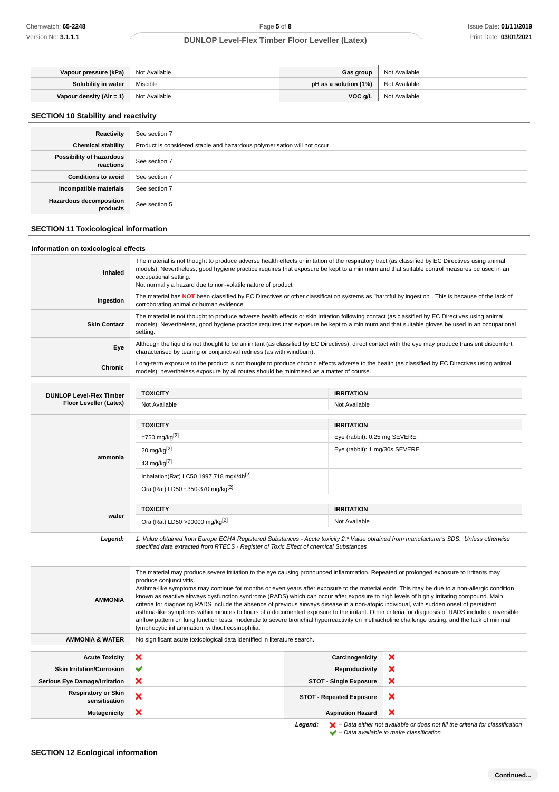| Vapour pressure (kPa)    | Not Available | Gas group               | Not Available |
|--------------------------|---------------|-------------------------|---------------|
| Solubility in water      | Miscible      | pH as a solution $(1%)$ | Not Available |
| Vapour density (Air = 1) | Not Available | VOC q/L                 | Not Available |

#### **SECTION 10 Stability and reactivity**

| Reactivity                                 | See section 7                                                             |
|--------------------------------------------|---------------------------------------------------------------------------|
| <b>Chemical stability</b>                  | Product is considered stable and hazardous polymerisation will not occur. |
| Possibility of hazardous<br>reactions      | See section 7                                                             |
| <b>Conditions to avoid</b>                 | See section 7                                                             |
| Incompatible materials                     | See section 7                                                             |
| <b>Hazardous decomposition</b><br>products | See section 5                                                             |

## **SECTION 11 Toxicological information**

#### **Information on toxicological effects**

| Inhaled                                                   | The material is not thought to produce adverse health effects or irritation of the respiratory tract (as classified by EC Directives using animal<br>models). Nevertheless, good hygiene practice requires that exposure be kept to a minimum and that suitable control measures be used in an<br>occupational setting.<br>Not normally a hazard due to non-volatile nature of product |                                                                                                                                                 |  |  |  |
|-----------------------------------------------------------|----------------------------------------------------------------------------------------------------------------------------------------------------------------------------------------------------------------------------------------------------------------------------------------------------------------------------------------------------------------------------------------|-------------------------------------------------------------------------------------------------------------------------------------------------|--|--|--|
| Ingestion                                                 | corroborating animal or human evidence.                                                                                                                                                                                                                                                                                                                                                | The material has NOT been classified by EC Directives or other classification systems as "harmful by ingestion". This is because of the lack of |  |  |  |
| <b>Skin Contact</b>                                       | The material is not thought to produce adverse health effects or skin irritation following contact (as classified by EC Directives using animal<br>models). Nevertheless, good hygiene practice requires that exposure be kept to a minimum and that suitable gloves be used in an occupational<br>setting.                                                                            |                                                                                                                                                 |  |  |  |
| Eye                                                       | Although the liquid is not thought to be an irritant (as classified by EC Directives), direct contact with the eye may produce transient discomfort<br>characterised by tearing or conjunctival redness (as with windburn).                                                                                                                                                            |                                                                                                                                                 |  |  |  |
| <b>Chronic</b>                                            | Long-term exposure to the product is not thought to produce chronic effects adverse to the health (as classified by EC Directives using animal<br>models); nevertheless exposure by all routes should be minimised as a matter of course.                                                                                                                                              |                                                                                                                                                 |  |  |  |
|                                                           |                                                                                                                                                                                                                                                                                                                                                                                        |                                                                                                                                                 |  |  |  |
| <b>DUNLOP Level-Flex Timber</b><br>Floor Leveller (Latex) | <b>TOXICITY</b>                                                                                                                                                                                                                                                                                                                                                                        | <b>IRRITATION</b>                                                                                                                               |  |  |  |
|                                                           | Not Available                                                                                                                                                                                                                                                                                                                                                                          | Not Available                                                                                                                                   |  |  |  |
|                                                           | <b>TOXICITY</b>                                                                                                                                                                                                                                                                                                                                                                        | <b>IRRITATION</b>                                                                                                                               |  |  |  |
|                                                           | $= 750$ mg/kg <sup>[2]</sup>                                                                                                                                                                                                                                                                                                                                                           | Eye (rabbit): 0.25 mg SEVERE                                                                                                                    |  |  |  |
|                                                           | 20 mg/kg $^{[2]}$                                                                                                                                                                                                                                                                                                                                                                      | Eye (rabbit): 1 mg/30s SEVERE                                                                                                                   |  |  |  |
| ammonia                                                   | 43 mg/kg $[2]$                                                                                                                                                                                                                                                                                                                                                                         |                                                                                                                                                 |  |  |  |
|                                                           | Inhalation(Rat) LC50 1997.718 mg/l/4h <sup>[2]</sup>                                                                                                                                                                                                                                                                                                                                   |                                                                                                                                                 |  |  |  |
|                                                           | Oral(Rat) LD50~350-370 mg/kg <sup>[2]</sup>                                                                                                                                                                                                                                                                                                                                            |                                                                                                                                                 |  |  |  |
|                                                           | <b>TOXICITY</b>                                                                                                                                                                                                                                                                                                                                                                        | <b>IRRITATION</b>                                                                                                                               |  |  |  |
| water                                                     | Oral(Rat) LD50 >90000 mg/kg <sup>[2]</sup>                                                                                                                                                                                                                                                                                                                                             | Not Available                                                                                                                                   |  |  |  |
| Legend:                                                   | 1. Value obtained from Europe ECHA Registered Substances - Acute toxicity 2.* Value obtained from manufacturer's SDS. Unless otherwise<br>specified data extracted from RTECS - Register of Toxic Effect of chemical Substances                                                                                                                                                        |                                                                                                                                                 |  |  |  |

The material may produce severe irritation to the eye causing pronounced inflammation. Repeated or prolonged exposure to irritants may produce conjunctivitis. Asthma-like symptoms may continue for months or even years after exposure to the material ends. This may be due to a non-allergic condition known as reactive airways dysfunction syndrome (RADS) which can occur after exposure to high levels of highly irritating compound. Main **AMMONIA** criteria for diagnosing RADS include the absence of previous airways disease in a non-atopic individual, with sudden onset of persistent asthma-like symptoms within minutes to hours of a documented exposure to the irritant. Other criteria for diagnosis of RADS include a reversible airflow pattern on lung function tests, moderate to severe bronchial hyperreactivity on methacholine challenge testing, and the lack of minimal lymphocytic inflammation, without eosinophilia. **AMMONIA & WATER** | No significant acute toxicological data identified in literature search. **Acute Toxicity X** Carcinogenicity  $\boldsymbol{\mathsf{x}}$ **Skin Irritation/Corrosion ▼**  $\pmb{\times}$ **Serious Eye Damage/Irritation STOT - Single Exposure** × **Respiratory or Skin** ratory or Skin **X**<br>sensitisation **X**  $\mathbf x$ **Mutagenicity Aspiration Hazard**  $\boldsymbol{\mathsf{x}}$ 

Legend:  $\mathsf{X}$  – Data either not available or does not fill the criteria for classification  $\blacktriangleright$  – Data available to make classification

## **SECTION 12 Ecological information**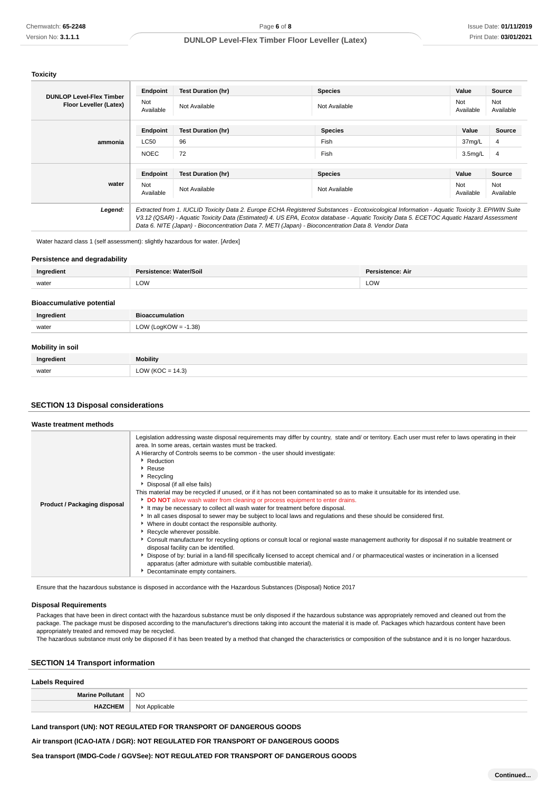**Toxicity**

|                                                           | Endpoint         | <b>Test Duration (hr)</b>                                                                                                                                                                                                                                                                                                                                                                       | <b>Species</b> | Value               | Source           |
|-----------------------------------------------------------|------------------|-------------------------------------------------------------------------------------------------------------------------------------------------------------------------------------------------------------------------------------------------------------------------------------------------------------------------------------------------------------------------------------------------|----------------|---------------------|------------------|
| <b>DUNLOP Level-Flex Timber</b><br>Floor Leveller (Latex) | Not<br>Available | Not Available                                                                                                                                                                                                                                                                                                                                                                                   | Not Available  | Not<br>Available    | Not<br>Available |
|                                                           | Endpoint         | <b>Test Duration (hr)</b>                                                                                                                                                                                                                                                                                                                                                                       | <b>Species</b> | Value               | <b>Source</b>    |
| ammonia                                                   | LC50             | 96                                                                                                                                                                                                                                                                                                                                                                                              | Fish           | 37mg/L              | 4                |
|                                                           | <b>NOEC</b>      | 72                                                                                                                                                                                                                                                                                                                                                                                              | Fish           | 3.5 <sub>mg/L</sub> | 4                |
|                                                           | Endpoint         | <b>Test Duration (hr)</b>                                                                                                                                                                                                                                                                                                                                                                       | <b>Species</b> | Value               | Source           |
| water                                                     | Not<br>Available | Not Available                                                                                                                                                                                                                                                                                                                                                                                   | Not Available  | Not<br>Available    | Not<br>Available |
| Legend:                                                   |                  | Extracted from 1. IUCLID Toxicity Data 2. Europe ECHA Registered Substances - Ecotoxicological Information - Aquatic Toxicity 3. EPIWIN Suite<br>V3.12 (QSAR) - Aquatic Toxicity Data (Estimated) 4. US EPA, Ecotox database - Aquatic Toxicity Data 5. ECETOC Aquatic Hazard Assessment<br>Data 6. NITE (Japan) - Bioconcentration Data 7. METI (Japan) - Bioconcentration Data 8. Vendor Data |                |                     |                  |

Water hazard class 1 (self assessment): slightly hazardous for water. [Ardex]

#### **Persistence and degradability**

| Ingredient | Persistence: Water/Soil | <b>Persistence: Air</b> |
|------------|-------------------------|-------------------------|
| water      | LOW                     | LOW                     |
|            |                         |                         |

## **Bioaccumulative potential**

| Ingredient              | <b>Bioaccumulation</b>  |
|-------------------------|-------------------------|
| water                   | LOW (LogKOW = $-1.38$ ) |
|                         |                         |
| <b>Mobility in soil</b> |                         |

| Ingredient | Mobility                     |
|------------|------------------------------|
| water      | 14.3<br><b>CIN</b><br>$\sim$ |

## **SECTION 13 Disposal considerations**

#### **Waste treatment methods**

| Product / Packaging disposal | Legislation addressing waste disposal requirements may differ by country, state and/ or territory. Each user must refer to laws operating in their<br>area. In some areas, certain wastes must be tracked.<br>A Hierarchy of Controls seems to be common - the user should investigate:<br>Reduction<br>$\cdot$ Reuse<br>$\cdot$ Recycling<br>▶ Disposal (if all else fails)<br>This material may be recycled if unused, or if it has not been contaminated so as to make it unsuitable for its intended use.<br>DO NOT allow wash water from cleaning or process equipment to enter drains.<br>It may be necessary to collect all wash water for treatment before disposal.<br>In all cases disposal to sewer may be subject to local laws and regulations and these should be considered first.<br>• Where in doubt contact the responsible authority.<br>Recycle wherever possible.<br>► Consult manufacturer for recycling options or consult local or regional waste management authority for disposal if no suitable treatment or<br>disposal facility can be identified.<br>Dispose of by: burial in a land-fill specifically licensed to accept chemical and / or pharmaceutical wastes or incineration in a licensed<br>apparatus (after admixture with suitable combustible material).<br>Decontaminate empty containers. |
|------------------------------|-------------------------------------------------------------------------------------------------------------------------------------------------------------------------------------------------------------------------------------------------------------------------------------------------------------------------------------------------------------------------------------------------------------------------------------------------------------------------------------------------------------------------------------------------------------------------------------------------------------------------------------------------------------------------------------------------------------------------------------------------------------------------------------------------------------------------------------------------------------------------------------------------------------------------------------------------------------------------------------------------------------------------------------------------------------------------------------------------------------------------------------------------------------------------------------------------------------------------------------------------------------------------------------------------------------------------------------|

Ensure that the hazardous substance is disposed in accordance with the Hazardous Substances (Disposal) Notice 2017

#### **Disposal Requirements**

Packages that have been in direct contact with the hazardous substance must be only disposed if the hazardous substance was appropriately removed and cleaned out from the package. The package must be disposed according to the manufacturer's directions taking into account the material it is made of. Packages which hazardous content have been appropriately treated and removed may be recycled.

The hazardous substance must only be disposed if it has been treated by a method that changed the characteristics or composition of the substance and it is no longer hazardous.

# **SECTION 14 Transport information**

| <b>Labels Required</b>  |                |  |
|-------------------------|----------------|--|
| <b>Marine Pollutant</b> | <b>NO</b>      |  |
| <b>HAZCHEM</b>          | Not Applicable |  |

## **Land transport (UN): NOT REGULATED FOR TRANSPORT OF DANGEROUS GOODS**

**Air transport (ICAO-IATA / DGR): NOT REGULATED FOR TRANSPORT OF DANGEROUS GOODS**

**Sea transport (IMDG-Code / GGVSee): NOT REGULATED FOR TRANSPORT OF DANGEROUS GOODS**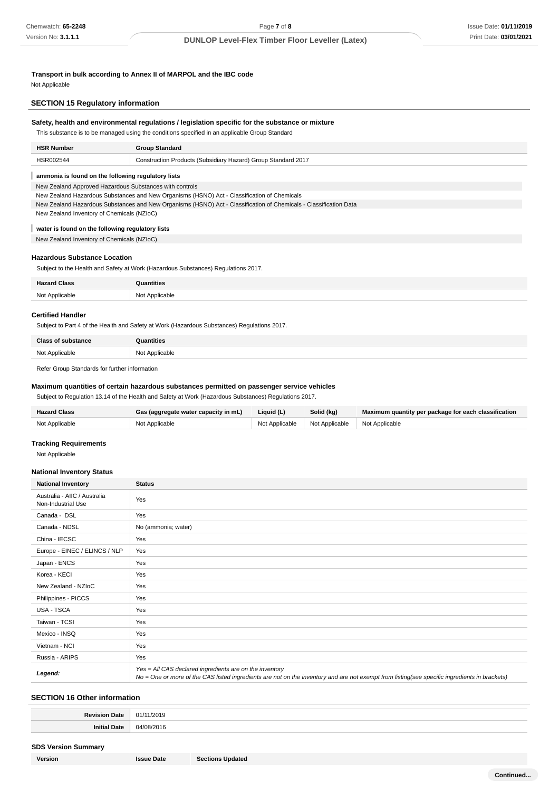**Transport in bulk according to Annex II of MARPOL and the IBC code**

Not Applicable

## **SECTION 15 Regulatory information**

# **Safety, health and environmental regulations / legislation specific for the substance or mixture**

This substance is to be managed using the conditions specified in an applicable Group Standard

| <b>HSR Number</b> | <b>Group Standard</b>                                         |
|-------------------|---------------------------------------------------------------|
| HSR002544         | Construction Products (Subsidiary Hazard) Group Standard 2017 |

#### **ammonia is found on the following regulatory lists**

New Zealand Approved Hazardous Substances with controls

New Zealand Hazardous Substances and New Organisms (HSNO) Act - Classification of Chemicals

New Zealand Hazardous Substances and New Organisms (HSNO) Act - Classification of Chemicals - Classification Data

New Zealand Inventory of Chemicals (NZIoC)

#### ı **water is found on the following regulatory lists**

New Zealand Inventory of Chemicals (NZIoC)

#### **Hazardous Substance Location**

Subject to the Health and Safety at Work (Hazardous Substances) Regulations 2017.

| <b>Hazard Class</b> | Quantities<br>-------- |
|---------------------|------------------------|
| Not Applicable      | Not Applicable         |

#### **Certified Handler**

Subject to Part 4 of the Health and Safety at Work (Hazardous Substances) Regulations 2017.

| <b>Class of substance</b> | <b>Quantities</b> |
|---------------------------|-------------------|
| Not Applicable            | Not Applicable    |

Refer Group Standards for further information

## **Maximum quantities of certain hazardous substances permitted on passenger service vehicles**

Subject to Regulation 13.14 of the Health and Safety at Work (Hazardous Substances) Regulations 2017.

| <b>Hazard Class</b> | Gas (aggregate water capacity in mL) | Liauid (L)     | Solid (kg)                    | Maximum quantity per package for each classification |
|---------------------|--------------------------------------|----------------|-------------------------------|------------------------------------------------------|
| Not Applicable      | Not Applicable                       | Not Applicable | Not Applicable Not Applicable |                                                      |

#### **Tracking Requirements**

Not Applicable

#### **National Inventory Status**

| <b>National Inventory</b>                          | <b>Status</b>                                                                                                                                                                                            |
|----------------------------------------------------|----------------------------------------------------------------------------------------------------------------------------------------------------------------------------------------------------------|
| Australia - AIIC / Australia<br>Non-Industrial Use | Yes                                                                                                                                                                                                      |
| Canada - DSL                                       | Yes                                                                                                                                                                                                      |
| Canada - NDSL                                      | No (ammonia; water)                                                                                                                                                                                      |
| China - IECSC                                      | Yes                                                                                                                                                                                                      |
| Europe - EINEC / ELINCS / NLP                      | Yes                                                                                                                                                                                                      |
| Japan - ENCS                                       | Yes                                                                                                                                                                                                      |
| Korea - KECI                                       | Yes                                                                                                                                                                                                      |
| New Zealand - NZIoC                                | Yes                                                                                                                                                                                                      |
| Philippines - PICCS                                | Yes                                                                                                                                                                                                      |
| USA - TSCA                                         | Yes                                                                                                                                                                                                      |
| Taiwan - TCSI                                      | Yes                                                                                                                                                                                                      |
| Mexico - INSQ                                      | Yes                                                                                                                                                                                                      |
| Vietnam - NCI                                      | Yes                                                                                                                                                                                                      |
| Russia - ARIPS                                     | Yes                                                                                                                                                                                                      |
| Legend:                                            | Yes = All CAS declared ingredients are on the inventory<br>No = One or more of the CAS listed ingredients are not on the inventory and are not exempt from listing(see specific ingredients in brackets) |

# **SECTION 16 Other information**

| De:<br>$-101a$<br>,,,,, | /2019<br>า1. |
|-------------------------|--------------|
| .<br>Jate<br>ויחו       | 14 I         |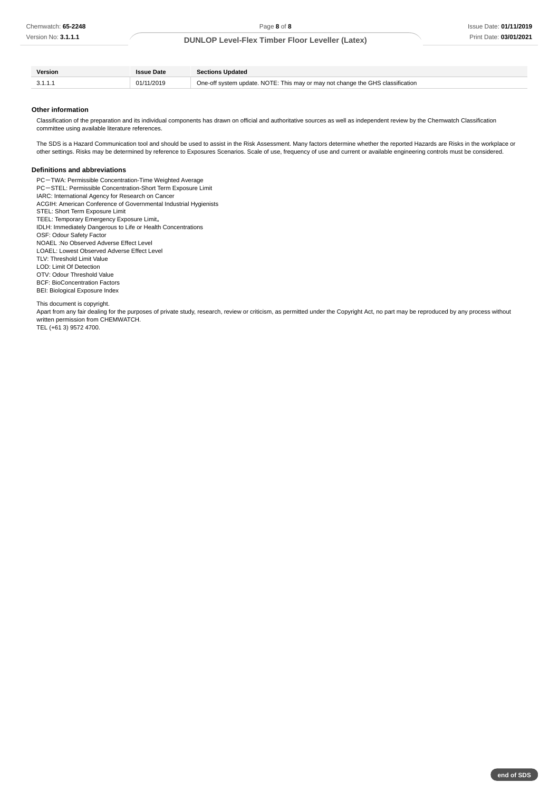**end of SDS**

# **DUNLOP Level-Flex Timber Floor Leveller (Latex)**

| Version | Issue Date | <b>Sections Updated</b>                                                        |
|---------|------------|--------------------------------------------------------------------------------|
|         | 01/11/2019 | One-off system update. NOTE: This may or may not change the GHS classification |

#### **Other information**

Classification of the preparation and its individual components has drawn on official and authoritative sources as well as independent review by the Chemwatch Classification committee using available literature references.

The SDS is a Hazard Communication tool and should be used to assist in the Risk Assessment. Many factors determine whether the reported Hazards are Risks in the workplace or other settings. Risks may be determined by reference to Exposures Scenarios. Scale of use, frequency of use and current or available engineering controls must be considered.

#### **Definitions and abbreviations**

PC-TWA: Permissible Concentration-Time Weighted Average PC-STEL: Permissible Concentration-Short Term Exposure Limit IARC: International Agency for Research on Cancer ACGIH: American Conference of Governmental Industrial Hygienists STEL: Short Term Exposure Limit TEEL: Temporary Emergency Exposure Limit。 IDLH: Immediately Dangerous to Life or Health Concentrations OSF: Odour Safety Factor NOAEL :No Observed Adverse Effect Level LOAEL: Lowest Observed Adverse Effect Level TLV: Threshold Limit Value LOD: Limit Of Detection OTV: Odour Threshold Value BCF: BioConcentration Factors BEI: Biological Exposure Index

This document is copyright.

Apart from any fair dealing for the purposes of private study, research, review or criticism, as permitted under the Copyright Act, no part may be reproduced by any process without written permission from CHEMWATCH. TEL (+61 3) 9572 4700.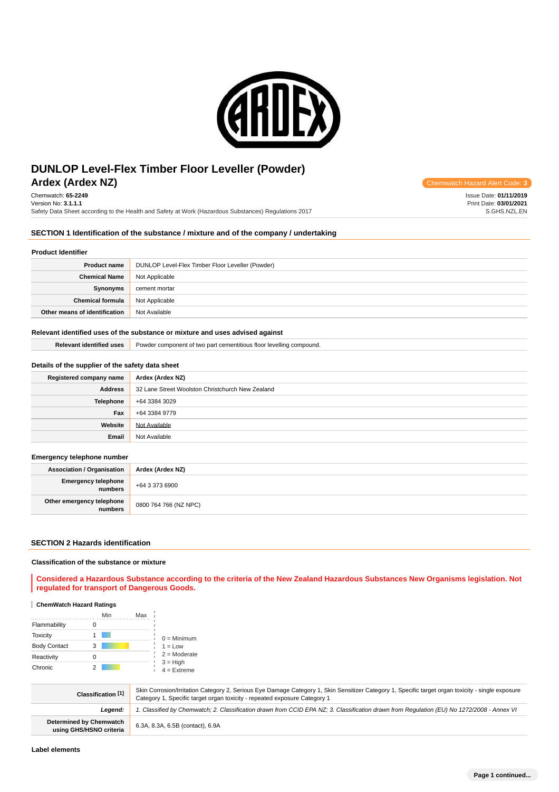

# **Ardex (Ardex NZ) Chemwatch Hazard Alert** Communication Communication Communication Communication Alert Communication Condex Alert Condex Alert Condex Alert Condex Alert Condex Alert Condex Alert Condex Alert Condex Aler **DUNLOP Level-Flex Timber Floor Leveller (Powder)**

Chemwatch: **65-2249** Version No: **3.1.1.1** Safety Data Sheet according to the Health and Safety at Work (Hazardous Substances) Regulations 2017

# **SECTION 1 Identification of the substance / mixture and of the company / undertaking**

## **Product Identifier**

| <b>Product name</b>           | DUNLOP Level-Flex Timber Floor Leveller (Powder) |
|-------------------------------|--------------------------------------------------|
| <b>Chemical Name</b>          | Not Applicable                                   |
| Synonyms                      | cement mortar                                    |
| <b>Chemical formula</b>       | Not Applicable                                   |
| Other means of identification | Not Available                                    |

#### **Relevant identified uses of the substance or mixture and uses advised against**

| <b>Relevant identified uses</b> | <b>Powder component of two part cementitious floor levelling compound.</b> |
|---------------------------------|----------------------------------------------------------------------------|
|---------------------------------|----------------------------------------------------------------------------|

# **Details of the supplier of the safety data sheet**

| Registered company name | Ardex (Ardex NZ)                                 |
|-------------------------|--------------------------------------------------|
| Address                 | 32 Lane Street Woolston Christchurch New Zealand |
| <b>Telephone</b>        | +64 3384 3029                                    |
| Fax                     | +64 3384 9779                                    |
| Website                 | Not Available                                    |
| Email                   | Not Available                                    |

## **Emergency telephone number**

| <b>Association / Organisation</b>    | Ardex (Ardex NZ)      |
|--------------------------------------|-----------------------|
| Emergency telephone<br>numbers       | +64 3 373 6900        |
| Other emergency telephone<br>numbers | 0800 764 766 (NZ NPC) |

#### **SECTION 2 Hazards identification**

#### **Classification of the substance or mixture**

**Considered a Hazardous Substance according to the criteria of the New Zealand Hazardous Substances New Organisms legislation. Not regulated for transport of Dangerous Goods.**

#### **ChemWatch Hazard Ratings**

|                     | Min<br>Max |                             |
|---------------------|------------|-----------------------------|
| Flammability        |            |                             |
| <b>Toxicity</b>     |            | $0 =$ Minimum               |
| <b>Body Contact</b> | 3          | $1 = Low$                   |
| Reactivity          | Ω          | $2 =$ Moderate              |
| Chronic             |            | $3 = High$<br>$4 =$ Extreme |

| Classification [1]                                        | Skin Corrosion/Irritation Category 2, Serious Eye Damage Category 1, Skin Sensitizer Category 1, Specific target organ toxicity - single exposure<br>Category 1, Specific target organ toxicity - repeated exposure Category 1 |
|-----------------------------------------------------------|--------------------------------------------------------------------------------------------------------------------------------------------------------------------------------------------------------------------------------|
| Leaend:                                                   | . Classified by Chemwatch; 2. Classification drawn from CCID EPA NZ; 3. Classification drawn from Requlation (EU) No 1272/2008 - Annex VI                                                                                      |
| <b>Determined by Chemwatch</b><br>using GHS/HSNO criteria | 6.3A, 8.3A, 6.5B (contact), 6.9A                                                                                                                                                                                               |

Issue Date: **01/11/2019** Print Date: **03/01/2021**

S.GHS.NZL.EN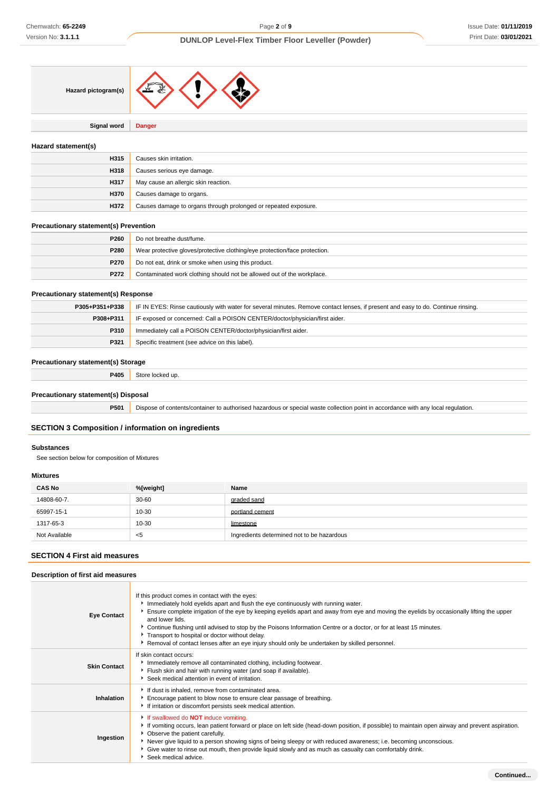

**Signal word Danger**

# **Hazard statement(s)**

| H315 | Causes skin irritation.                                         |
|------|-----------------------------------------------------------------|
| H318 | Causes serious eye damage.                                      |
| H317 | May cause an allergic skin reaction.                            |
| H370 | Causes damage to organs.                                        |
| H372 | Causes damage to organs through prolonged or repeated exposure. |

## **Precautionary statement(s) Prevention**

| P <sub>260</sub> | Do not breathe dust/fume.                                                  |
|------------------|----------------------------------------------------------------------------|
| P280             | Wear protective gloves/protective clothing/eye protection/face protection. |
| P270             | Do not eat, drink or smoke when using this product.                        |
| P272             | Contaminated work clothing should not be allowed out of the workplace.     |

## **Precautionary statement(s) Response**

| P305+P351+P338 | IF IN EYES: Rinse cautiously with water for several minutes. Remove contact lenses, if present and easy to do. Continue rinsing. |  |
|----------------|----------------------------------------------------------------------------------------------------------------------------------|--|
| P308+P311      | IF exposed or concerned: Call a POISON CENTER/doctor/physician/first aider.                                                      |  |
| <b>P310</b>    | Immediately call a POISON CENTER/doctor/physician/first aider.                                                                   |  |
| P321           | Specific treatment (see advice on this label).                                                                                   |  |

# **Precautionary statement(s) Storage**

**P405** Store locked up.

# **Precautionary statement(s) Disposal**

**P501** Dispose of contents/container to authorised hazardous or special waste collection point in accordance with any local regulation.

# **SECTION 3 Composition / information on ingredients**

#### **Substances**

See section below for composition of Mixtures

## **Mixtures**

| <b>CAS No</b> | %[weight] | Name                                       |
|---------------|-----------|--------------------------------------------|
| 14808-60-7.   | $30 - 60$ | graded sand                                |
| 65997-15-1    | 10-30     | portland cement                            |
| 1317-65-3     | 10-30     | limestone                                  |
| Not Available | - <5      | Ingredients determined not to be hazardous |

# **SECTION 4 First aid measures**

| Description of first aid measures |                                                                                                                                                                                                                                                                                                                                                                                                                                                                                                                                                                                   |
|-----------------------------------|-----------------------------------------------------------------------------------------------------------------------------------------------------------------------------------------------------------------------------------------------------------------------------------------------------------------------------------------------------------------------------------------------------------------------------------------------------------------------------------------------------------------------------------------------------------------------------------|
| <b>Eye Contact</b>                | If this product comes in contact with the eyes:<br>Immediately hold eyelids apart and flush the eye continuously with running water.<br>Ensure complete irrigation of the eye by keeping eyelids apart and away from eye and moving the eyelids by occasionally lifting the upper<br>and lower lids.<br>▶ Continue flushing until advised to stop by the Poisons Information Centre or a doctor, or for at least 15 minutes.<br>Transport to hospital or doctor without delay.<br>▶ Removal of contact lenses after an eye injury should only be undertaken by skilled personnel. |
| <b>Skin Contact</b>               | If skin contact occurs:<br>Immediately remove all contaminated clothing, including footwear.<br>Flush skin and hair with running water (and soap if available).<br>Seek medical attention in event of irritation.                                                                                                                                                                                                                                                                                                                                                                 |
| Inhalation                        | If dust is inhaled, remove from contaminated area.<br>Encourage patient to blow nose to ensure clear passage of breathing.<br>If irritation or discomfort persists seek medical attention.                                                                                                                                                                                                                                                                                                                                                                                        |
| Ingestion                         | If swallowed do <b>NOT</b> induce vomiting.<br>If vomiting occurs, lean patient forward or place on left side (head-down position, if possible) to maintain open airway and prevent aspiration.<br>• Observe the patient carefully.<br>▶ Never give liquid to a person showing signs of being sleepy or with reduced awareness; i.e. becoming unconscious.<br>Give water to rinse out mouth, then provide liquid slowly and as much as casualty can comfortably drink.<br>Seek medical advice.                                                                                    |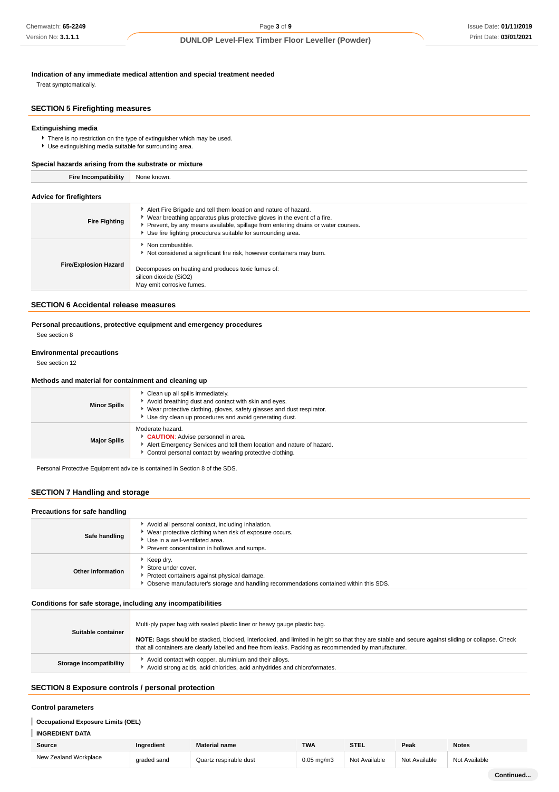**Indication of any immediate medical attention and special treatment needed**

Treat symptomatically.

# **SECTION 5 Firefighting measures**

## **Extinguishing media**

There is no restriction on the type of extinguisher which may be used. Use extinguishing media suitable for surrounding area.

## **Special hazards arising from the substrate or mixture**

**Fire Incompatibility** None known.

# **Advice for firefighters**

| 1.44110010111011911101010    |                                                                                                                                                                                                                                                                                                   |
|------------------------------|---------------------------------------------------------------------------------------------------------------------------------------------------------------------------------------------------------------------------------------------------------------------------------------------------|
| <b>Fire Fighting</b>         | Alert Fire Brigade and tell them location and nature of hazard.<br>► Wear breathing apparatus plus protective gloves in the event of a fire.<br>▶ Prevent, by any means available, spillage from entering drains or water courses.<br>Use fire fighting procedures suitable for surrounding area. |
| <b>Fire/Explosion Hazard</b> | Non combustible.<br>Not considered a significant fire risk, however containers may burn.<br>Decomposes on heating and produces toxic fumes of:<br>silicon dioxide (SiO2)<br>May emit corrosive fumes.                                                                                             |

## **SECTION 6 Accidental release measures**

# **Personal precautions, protective equipment and emergency procedures**

See section 8

#### **Environmental precautions**

See section 12

#### **Methods and material for containment and cleaning up**

| <b>Minor Spills</b> | Clean up all spills immediately.<br>Avoid breathing dust and contact with skin and eyes.<br>Wear protective clothing, gloves, safety glasses and dust respirator.<br>Use dry clean up procedures and avoid generating dust. |
|---------------------|-----------------------------------------------------------------------------------------------------------------------------------------------------------------------------------------------------------------------------|
| <b>Major Spills</b> | Moderate hazard.<br>CAUTION: Advise personnel in area.<br>Alert Emergency Services and tell them location and nature of hazard.<br>Control personal contact by wearing protective clothing.                                 |

Personal Protective Equipment advice is contained in Section 8 of the SDS.

# **SECTION 7 Handling and storage**

| Precautions for safe handling |                                                                                                                                                                                                |
|-------------------------------|------------------------------------------------------------------------------------------------------------------------------------------------------------------------------------------------|
| Safe handling                 | Avoid all personal contact, including inhalation.<br>▶ Wear protective clothing when risk of exposure occurs.<br>Use in a well-ventilated area.<br>Prevent concentration in hollows and sumps. |
| Other information             | ▶ Keep dry.<br>Store under cover.<br>Protect containers against physical damage.<br>Observe manufacturer's storage and handling recommendations contained within this SDS.                     |

## **Conditions for safe storage, including any incompatibilities**

| Suitable container      | Multi-ply paper bag with sealed plastic liner or heavy gauge plastic bag.                                                                                                                                                                                |
|-------------------------|----------------------------------------------------------------------------------------------------------------------------------------------------------------------------------------------------------------------------------------------------------|
|                         | NOTE: Bags should be stacked, blocked, interlocked, and limited in height so that they are stable and secure against sliding or collapse. Check<br>that all containers are clearly labelled and free from leaks. Packing as recommended by manufacturer. |
| Storage incompatibility | Avoid contact with copper, aluminium and their alloys.<br>Avoid strong acids, acid chlorides, acid anhydrides and chloroformates.                                                                                                                        |

# **SECTION 8 Exposure controls / personal protection**

#### **Control parameters**

#### **Occupational Exposure Limits (OEL)**

## **INGREDIENT DATA**

| Source                | Ingredient  | <b>Material name</b>   | <b>TWA</b>      | <b>CTE</b><br>ᇬᆸ | Peak          | <b>Notes</b><br>. |
|-----------------------|-------------|------------------------|-----------------|------------------|---------------|-------------------|
| New Zealand Workplace | araded sand | Quartz respirable dust | $0.05$ mg/m $3$ | Not Available    | Not Available | Not Available     |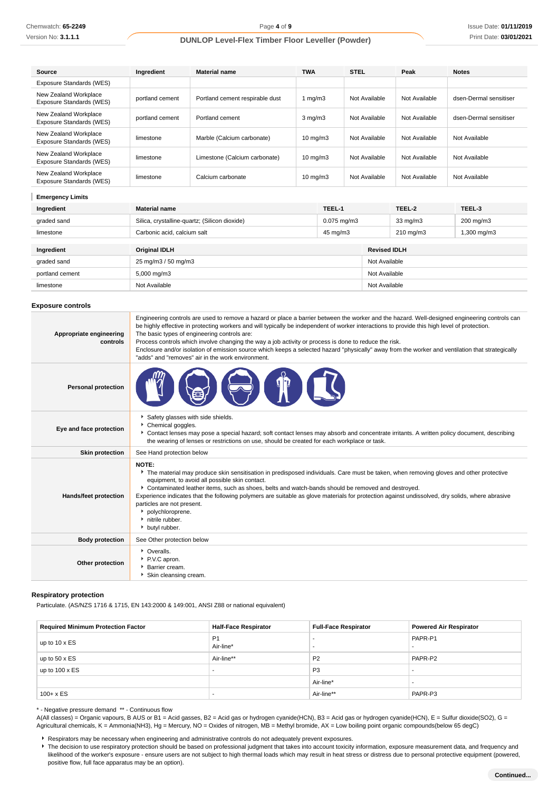| Source                                            | Ingredient      | <b>Material name</b>            | <b>TWA</b>        | <b>STEL</b>   | Peak          | <b>Notes</b>           |
|---------------------------------------------------|-----------------|---------------------------------|-------------------|---------------|---------------|------------------------|
| Exposure Standards (WES)                          |                 |                                 |                   |               |               |                        |
| New Zealand Workplace<br>Exposure Standards (WES) | portland cement | Portland cement respirable dust | 1 $mq/m3$         | Not Available | Not Available | dsen-Dermal sensitiser |
| New Zealand Workplace<br>Exposure Standards (WES) | portland cement | Portland cement                 | $3 \text{ mg/m}$  | Not Available | Not Available | dsen-Dermal sensitiser |
| New Zealand Workplace<br>Exposure Standards (WES) | limestone       | Marble (Calcium carbonate)      | $10 \text{ mg/m}$ | Not Available | Not Available | Not Available          |
| New Zealand Workplace<br>Exposure Standards (WES) | limestone       | Limestone (Calcium carbonate)   | $10 \text{ mg/m}$ | Not Available | Not Available | Not Available          |
| New Zealand Workplace<br>Exposure Standards (WES) | limestone       | Calcium carbonate               | $10 \text{ mg/m}$ | Not Available | Not Available | Not Available          |

# **Emergency Limits**

| Ingredient      | <b>Material name</b>                          | TEEL-1           |                     | TEEL-2             | TEEL-3               |
|-----------------|-----------------------------------------------|------------------|---------------------|--------------------|----------------------|
| graded sand     | Silica, crystalline-quartz; (Silicon dioxide) | $0.075$ mg/m $3$ |                     | $33 \text{ mg/m}$  | $200 \text{ mg/m}$ 3 |
| limestone       | Carbonic acid, calcium salt                   | 45 mg/m3         |                     | $210 \text{ mg/m}$ | 1,300 mg/m3          |
| Ingredient      | <b>Original IDLH</b>                          |                  | <b>Revised IDLH</b> |                    |                      |
| graded sand     | 25 mg/m3 / 50 mg/m3                           |                  | Not Available       |                    |                      |
| portland cement | $5,000 \,\mathrm{mg/m}$                       |                  | Not Available       |                    |                      |
| limestone       | Not Available                                 |                  | Not Available       |                    |                      |

## **Exposure controls**

| Appropriate engineering<br>controls | Engineering controls are used to remove a hazard or place a barrier between the worker and the hazard. Well-designed engineering controls can<br>be highly effective in protecting workers and will typically be independent of worker interactions to provide this high level of protection.<br>The basic types of engineering controls are:<br>Process controls which involve changing the way a job activity or process is done to reduce the risk.<br>Enclosure and/or isolation of emission source which keeps a selected hazard "physically" away from the worker and ventilation that strategically<br>"adds" and "removes" air in the work environment. |
|-------------------------------------|-----------------------------------------------------------------------------------------------------------------------------------------------------------------------------------------------------------------------------------------------------------------------------------------------------------------------------------------------------------------------------------------------------------------------------------------------------------------------------------------------------------------------------------------------------------------------------------------------------------------------------------------------------------------|
| <b>Personal protection</b>          |                                                                                                                                                                                                                                                                                                                                                                                                                                                                                                                                                                                                                                                                 |
| Eye and face protection             | Safety glasses with side shields.<br>Chemical goggles.<br>▶ Contact lenses may pose a special hazard; soft contact lenses may absorb and concentrate irritants. A written policy document, describing<br>the wearing of lenses or restrictions on use, should be created for each workplace or task.                                                                                                                                                                                                                                                                                                                                                            |
| <b>Skin protection</b>              | See Hand protection below                                                                                                                                                                                                                                                                                                                                                                                                                                                                                                                                                                                                                                       |
| Hands/feet protection               | NOTE:<br>The material may produce skin sensitisation in predisposed individuals. Care must be taken, when removing gloves and other protective<br>equipment, to avoid all possible skin contact.<br>▶ Contaminated leather items, such as shoes, belts and watch-bands should be removed and destroyed.<br>Experience indicates that the following polymers are suitable as glove materials for protection against undissolved, dry solids, where abrasive<br>particles are not present.<br>• polychloroprene.<br>nitrile rubber.<br>butyl rubber.                                                                                                              |
| <b>Body protection</b>              | See Other protection below                                                                                                                                                                                                                                                                                                                                                                                                                                                                                                                                                                                                                                      |
| Other protection                    | • Overalls.<br>P.V.C apron.<br>Barrier cream.<br>Skin cleansing cream.                                                                                                                                                                                                                                                                                                                                                                                                                                                                                                                                                                                          |

## **Respiratory protection**

Particulate. (AS/NZS 1716 & 1715, EN 143:2000 & 149:001, ANSI Z88 or national equivalent)

| <b>Required Minimum Protection Factor</b> | <b>Half-Face Respirator</b> | <b>Full-Face Respirator</b> | <b>Powered Air Respirator</b> |
|-------------------------------------------|-----------------------------|-----------------------------|-------------------------------|
| up to $10 \times ES$                      | P <sub>1</sub><br>Air-line* | . .<br>. .                  | PAPR-P1                       |
| up to $50 \times ES$                      | Air-line**                  | P <sub>2</sub>              | PAPR-P2                       |
| up to $100 \times ES$                     |                             | P <sub>3</sub>              |                               |
|                                           |                             | Air-line*                   |                               |
| $100 + x ES$                              |                             | Air-line**                  | PAPR-P3                       |

\* - Negative pressure demand \*\* - Continuous flow

A(All classes) = Organic vapours, B AUS or B1 = Acid gasses, B2 = Acid gas or hydrogen cyanide(HCN), B3 = Acid gas or hydrogen cyanide(HCN), E = Sulfur dioxide(SO2), G = Agricultural chemicals, K = Ammonia(NH3), Hg = Mercury, NO = Oxides of nitrogen, MB = Methyl bromide, AX = Low boiling point organic compounds(below 65 degC)

Respirators may be necessary when engineering and administrative controls do not adequately prevent exposures.

The decision to use respiratory protection should be based on professional judgment that takes into account toxicity information, exposure measurement data, and frequency and likelihood of the worker's exposure - ensure users are not subject to high thermal loads which may result in heat stress or distress due to personal protective equipment (powered, positive flow, full face apparatus may be an option).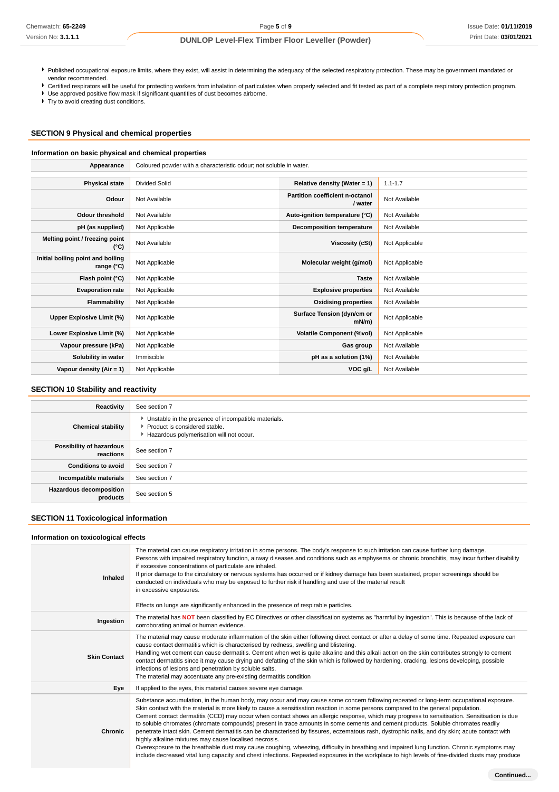- Published occupational exposure limits, where they exist, will assist in determining the adequacy of the selected respiratory protection. These may be government mandated or vendor recommended.
- Certified respirators will be useful for protecting workers from inhalation of particulates when properly selected and fit tested as part of a complete respiratory protection program.
- Use approved positive flow mask if significant quantities of dust becomes airborne.

Try to avoid creating dust conditions.

#### **SECTION 9 Physical and chemical properties**

#### **Information on basic physical and chemical properties**

| Appearance                                      | Coloured powder with a characteristic odour; not soluble in water. |                                            |                |
|-------------------------------------------------|--------------------------------------------------------------------|--------------------------------------------|----------------|
|                                                 |                                                                    |                                            |                |
| <b>Physical state</b>                           | Divided Solid                                                      | Relative density (Water = 1)               | $1.1 - 1.7$    |
| Odour                                           | Not Available                                                      | Partition coefficient n-octanol<br>/ water | Not Available  |
| <b>Odour threshold</b>                          | Not Available                                                      | Auto-ignition temperature (°C)             | Not Available  |
| pH (as supplied)                                | Not Applicable                                                     | Decomposition temperature                  | Not Available  |
| Melting point / freezing point<br>(°C)          | Not Available                                                      | Viscosity (cSt)                            | Not Applicable |
| Initial boiling point and boiling<br>range (°C) | Not Applicable                                                     | Molecular weight (g/mol)                   | Not Applicable |
| Flash point (°C)                                | Not Applicable                                                     | <b>Taste</b>                               | Not Available  |
| <b>Evaporation rate</b>                         | Not Applicable                                                     | <b>Explosive properties</b>                | Not Available  |
| Flammability                                    | Not Applicable                                                     | <b>Oxidising properties</b>                | Not Available  |
| Upper Explosive Limit (%)                       | Not Applicable                                                     | Surface Tension (dyn/cm or<br>$mN/m$ )     | Not Applicable |
| Lower Explosive Limit (%)                       | Not Applicable                                                     | <b>Volatile Component (%vol)</b>           | Not Applicable |
| Vapour pressure (kPa)                           | Not Applicable                                                     | Gas group                                  | Not Available  |
| Solubility in water                             | Immiscible                                                         | pH as a solution (1%)                      | Not Available  |
| Vapour density $(Air = 1)$                      | Not Applicable                                                     | VOC g/L                                    | Not Available  |

#### **SECTION 10 Stability and reactivity**

| Reactivity                                 | See section 7                                                                                                                    |
|--------------------------------------------|----------------------------------------------------------------------------------------------------------------------------------|
| <b>Chemical stability</b>                  | Unstable in the presence of incompatible materials.<br>Product is considered stable.<br>Hazardous polymerisation will not occur. |
| Possibility of hazardous<br>reactions      | See section 7                                                                                                                    |
| <b>Conditions to avoid</b>                 | See section 7                                                                                                                    |
| Incompatible materials                     | See section 7                                                                                                                    |
| <b>Hazardous decomposition</b><br>products | See section 5                                                                                                                    |

## **SECTION 11 Toxicological information**

#### **Information on toxicological effects Inhaled** The material can cause respiratory irritation in some persons. The body's response to such irritation can cause further lung damage. Persons with impaired respiratory function, airway diseases and conditions such as emphysema or chronic bronchitis, may incur further disability if excessive concentrations of particulate are inhaled. If prior damage to the circulatory or nervous systems has occurred or if kidney damage has been sustained, proper screenings should be conducted on individuals who may be exposed to further risk if handling and use of the material result in excessive exposures. Effects on lungs are significantly enhanced in the presence of respirable particles. **Ingestion** The material has **NOT** been classified by EC Directives or other classification systems as "harmful by ingestion". This is because of the lack of corroborating animal or human evidence. **Skin Contact** The material may cause moderate inflammation of the skin either following direct contact or after a delay of some time. Repeated exposure can cause contact dermatitis which is characterised by redness, swelling and blistering. Handling wet cement can cause dermatitis. Cement when wet is quite alkaline and this alkali action on the skin contributes strongly to cement contact dermatitis since it may cause drying and defatting of the skin which is followed by hardening, cracking, lesions developing, possible infections of lesions and penetration by soluble salts. The material may accentuate any pre-existing dermatitis condition **Eye** If applied to the eyes, this material causes severe eye damage. **Chronic** Substance accumulation, in the human body, may occur and may cause some concern following repeated or long-term occupational exposure. Skin contact with the material is more likely to cause a sensitisation reaction in some persons compared to the general population. Cement contact dermatitis (CCD) may occur when contact shows an allergic response, which may progress to sensitisation. Sensitisation is due to soluble chromates (chromate compounds) present in trace amounts in some cements and cement products. Soluble chromates readily penetrate intact skin. Cement dermatitis can be characterised by fissures, eczematous rash, dystrophic nails, and dry skin; acute contact with highly alkaline mixtures may cause localised necrosis. Overexposure to the breathable dust may cause coughing, wheezing, difficulty in breathing and impaired lung function. Chronic symptoms may include decreased vital lung capacity and chest infections. Repeated exposures in the workplace to high levels of fine-divided dusts may produce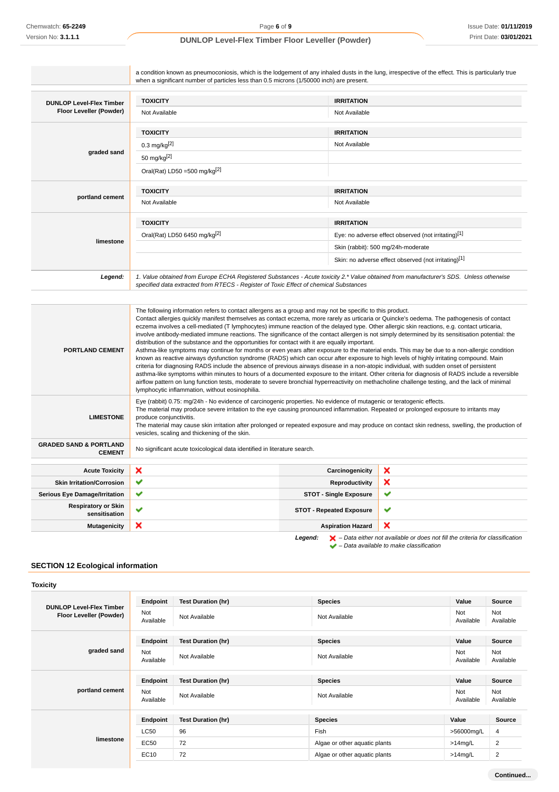|                                                                           | when a significant number of particles less than 0.5 microns (1/50000 inch) are present.                                                                                                                                                                                                                                                                                                                                                                                                                                                                                                                                                                                                                                                                                                                                                                                                                                                                                                                                                                                                                                                                                                                                                                                                                  |                                 |                                                                                                                                                       |
|---------------------------------------------------------------------------|-----------------------------------------------------------------------------------------------------------------------------------------------------------------------------------------------------------------------------------------------------------------------------------------------------------------------------------------------------------------------------------------------------------------------------------------------------------------------------------------------------------------------------------------------------------------------------------------------------------------------------------------------------------------------------------------------------------------------------------------------------------------------------------------------------------------------------------------------------------------------------------------------------------------------------------------------------------------------------------------------------------------------------------------------------------------------------------------------------------------------------------------------------------------------------------------------------------------------------------------------------------------------------------------------------------|---------------------------------|-------------------------------------------------------------------------------------------------------------------------------------------------------|
| <b>DUNLOP Level-Flex Timber</b>                                           | <b>TOXICITY</b>                                                                                                                                                                                                                                                                                                                                                                                                                                                                                                                                                                                                                                                                                                                                                                                                                                                                                                                                                                                                                                                                                                                                                                                                                                                                                           | <b>IRRITATION</b>               |                                                                                                                                                       |
| Floor Leveller (Powder)                                                   | Not Available                                                                                                                                                                                                                                                                                                                                                                                                                                                                                                                                                                                                                                                                                                                                                                                                                                                                                                                                                                                                                                                                                                                                                                                                                                                                                             | Not Available                   |                                                                                                                                                       |
|                                                                           | <b>TOXICITY</b>                                                                                                                                                                                                                                                                                                                                                                                                                                                                                                                                                                                                                                                                                                                                                                                                                                                                                                                                                                                                                                                                                                                                                                                                                                                                                           | <b>IRRITATION</b>               |                                                                                                                                                       |
|                                                                           | $0.3 \text{ mg/kg}^{[2]}$                                                                                                                                                                                                                                                                                                                                                                                                                                                                                                                                                                                                                                                                                                                                                                                                                                                                                                                                                                                                                                                                                                                                                                                                                                                                                 | Not Available                   |                                                                                                                                                       |
| graded sand                                                               | 50 mg/kg $[2]$                                                                                                                                                                                                                                                                                                                                                                                                                                                                                                                                                                                                                                                                                                                                                                                                                                                                                                                                                                                                                                                                                                                                                                                                                                                                                            |                                 |                                                                                                                                                       |
|                                                                           | Oral(Rat) LD50 = 500 mg/kg $[2]$                                                                                                                                                                                                                                                                                                                                                                                                                                                                                                                                                                                                                                                                                                                                                                                                                                                                                                                                                                                                                                                                                                                                                                                                                                                                          |                                 |                                                                                                                                                       |
| portland cement                                                           | <b>TOXICITY</b>                                                                                                                                                                                                                                                                                                                                                                                                                                                                                                                                                                                                                                                                                                                                                                                                                                                                                                                                                                                                                                                                                                                                                                                                                                                                                           | <b>IRRITATION</b>               |                                                                                                                                                       |
|                                                                           | Not Available                                                                                                                                                                                                                                                                                                                                                                                                                                                                                                                                                                                                                                                                                                                                                                                                                                                                                                                                                                                                                                                                                                                                                                                                                                                                                             | Not Available                   |                                                                                                                                                       |
|                                                                           | <b>TOXICITY</b>                                                                                                                                                                                                                                                                                                                                                                                                                                                                                                                                                                                                                                                                                                                                                                                                                                                                                                                                                                                                                                                                                                                                                                                                                                                                                           | <b>IRRITATION</b>               |                                                                                                                                                       |
|                                                                           | Oral(Rat) LD50 6450 mg/kg[2]                                                                                                                                                                                                                                                                                                                                                                                                                                                                                                                                                                                                                                                                                                                                                                                                                                                                                                                                                                                                                                                                                                                                                                                                                                                                              |                                 | Eye: no adverse effect observed (not irritating)[1]                                                                                                   |
| limestone                                                                 |                                                                                                                                                                                                                                                                                                                                                                                                                                                                                                                                                                                                                                                                                                                                                                                                                                                                                                                                                                                                                                                                                                                                                                                                                                                                                                           |                                 | Skin (rabbit): 500 mg/24h-moderate                                                                                                                    |
|                                                                           |                                                                                                                                                                                                                                                                                                                                                                                                                                                                                                                                                                                                                                                                                                                                                                                                                                                                                                                                                                                                                                                                                                                                                                                                                                                                                                           |                                 | Skin: no adverse effect observed (not irritating)[1]                                                                                                  |
|                                                                           |                                                                                                                                                                                                                                                                                                                                                                                                                                                                                                                                                                                                                                                                                                                                                                                                                                                                                                                                                                                                                                                                                                                                                                                                                                                                                                           |                                 |                                                                                                                                                       |
| Legend:                                                                   | 1. Value obtained from Europe ECHA Registered Substances - Acute toxicity 2.* Value obtained from manufacturer's SDS. Unless otherwise<br>specified data extracted from RTECS - Register of Toxic Effect of chemical Substances                                                                                                                                                                                                                                                                                                                                                                                                                                                                                                                                                                                                                                                                                                                                                                                                                                                                                                                                                                                                                                                                           |                                 |                                                                                                                                                       |
| <b>PORTLAND CEMENT</b>                                                    | The following information refers to contact allergens as a group and may not be specific to this product.<br>Contact allergies quickly manifest themselves as contact eczema, more rarely as urticaria or Quincke's oedema. The pathogenesis of contact<br>eczema involves a cell-mediated (T lymphocytes) immune reaction of the delayed type. Other allergic skin reactions, e.g. contact urticaria,<br>involve antibody-mediated immune reactions. The significance of the contact allergen is not simply determined by its sensitisation potential: the<br>distribution of the substance and the opportunities for contact with it are equally important.<br>Asthma-like symptoms may continue for months or even years after exposure to the material ends. This may be due to a non-allergic condition<br>known as reactive airways dysfunction syndrome (RADS) which can occur after exposure to high levels of highly irritating compound. Main<br>criteria for diagnosing RADS include the absence of previous airways disease in a non-atopic individual, with sudden onset of persistent<br>airflow pattern on lung function tests, moderate to severe bronchial hyperreactivity on methacholine challenge testing, and the lack of minimal<br>lymphocytic inflammation, without eosinophilia. |                                 |                                                                                                                                                       |
| <b>LIMESTONE</b>                                                          | Eye (rabbit) 0.75: mg/24h - No evidence of carcinogenic properties. No evidence of mutagenic or teratogenic effects.<br>The material may produce severe irritation to the eye causing pronounced inflammation. Repeated or prolonged exposure to irritants may<br>produce conjunctivitis.<br>The material may cause skin irritation after prolonged or repeated exposure and may produce on contact skin redness, swelling, the production of<br>vesicles, scaling and thickening of the skin.                                                                                                                                                                                                                                                                                                                                                                                                                                                                                                                                                                                                                                                                                                                                                                                                            |                                 |                                                                                                                                                       |
| <b>CEMENT</b>                                                             | No significant acute toxicological data identified in literature search.                                                                                                                                                                                                                                                                                                                                                                                                                                                                                                                                                                                                                                                                                                                                                                                                                                                                                                                                                                                                                                                                                                                                                                                                                                  |                                 |                                                                                                                                                       |
| <b>Acute Toxicity</b>                                                     | ×                                                                                                                                                                                                                                                                                                                                                                                                                                                                                                                                                                                                                                                                                                                                                                                                                                                                                                                                                                                                                                                                                                                                                                                                                                                                                                         | Carcinogenicity                 | ×                                                                                                                                                     |
| <b>Skin Irritation/Corrosion</b>                                          | ✔                                                                                                                                                                                                                                                                                                                                                                                                                                                                                                                                                                                                                                                                                                                                                                                                                                                                                                                                                                                                                                                                                                                                                                                                                                                                                                         | Reproductivity                  | ×                                                                                                                                                     |
| <b>GRADED SAND &amp; PORTLAND</b><br><b>Serious Eye Damage/Irritation</b> | ✔                                                                                                                                                                                                                                                                                                                                                                                                                                                                                                                                                                                                                                                                                                                                                                                                                                                                                                                                                                                                                                                                                                                                                                                                                                                                                                         | <b>STOT - Single Exposure</b>   | ✔                                                                                                                                                     |
| <b>Respiratory or Skin</b><br>sensitisation                               | ✔                                                                                                                                                                                                                                                                                                                                                                                                                                                                                                                                                                                                                                                                                                                                                                                                                                                                                                                                                                                                                                                                                                                                                                                                                                                                                                         | <b>STOT - Repeated Exposure</b> | asthma-like symptoms within minutes to hours of a documented exposure to the irritant. Other criteria for diagnosis of RADS include a reversible<br>✔ |

# **SECTION 12 Ecological information**

| <b>Toxicity</b>                                            |                  |                           |                               |                  |                  |
|------------------------------------------------------------|------------------|---------------------------|-------------------------------|------------------|------------------|
|                                                            | Endpoint         | <b>Test Duration (hr)</b> | <b>Species</b>                | Value            | Source           |
| <b>DUNLOP Level-Flex Timber</b><br>Floor Leveller (Powder) | Not<br>Available | Not Available             | Not Available                 | Not<br>Available | Not<br>Available |
|                                                            | Endpoint         | <b>Test Duration (hr)</b> | <b>Species</b>                | Value            | Source           |
| graded sand                                                | Not<br>Available | Not Available             | Not Available                 | Not<br>Available | Not<br>Available |
|                                                            | Endpoint         | <b>Test Duration (hr)</b> | <b>Species</b>                | Value            | Source           |
| portland cement                                            | Not<br>Available | Not Available             | Not Available                 | Not<br>Available | Not<br>Available |
|                                                            | Endpoint         | <b>Test Duration (hr)</b> | <b>Species</b>                | Value            | <b>Source</b>    |
|                                                            | <b>LC50</b>      | 96                        | Fish                          | >56000mg/L       | 4                |
| limestone                                                  | <b>EC50</b>      | 72                        | Algae or other aquatic plants | $>14$ mg/L       | 2                |
|                                                            | <b>EC10</b>      | 72                        | Algae or other aquatic plants | $>14$ mg/L       | $\overline{c}$   |

– Data available to make classification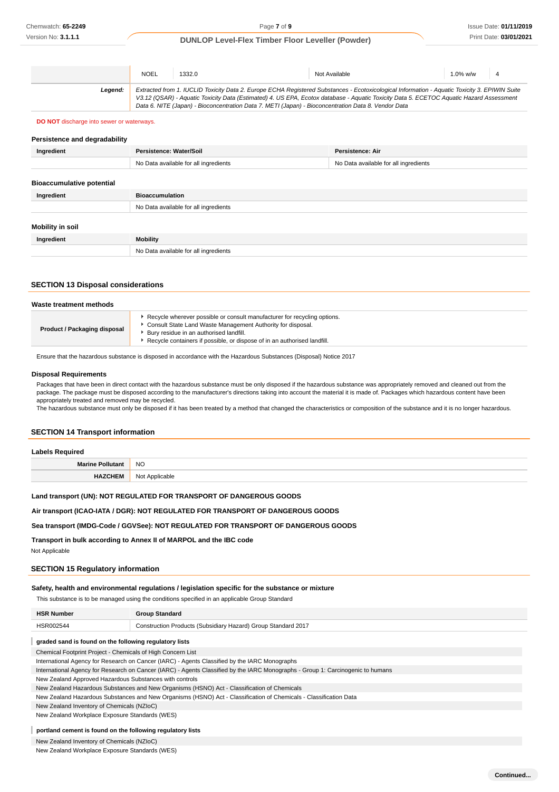|         | <b>NOEL</b> | 1332.0 | Not Available                                                                                                                                 | $1.0\%$ w/w 4 |  |
|---------|-------------|--------|-----------------------------------------------------------------------------------------------------------------------------------------------|---------------|--|
| Leaend: |             |        | Extracted from 1. IUCLID Toxicity Data 2. Europe ECHA Registered Substances - Ecotoxicological Information - Aquatic Toxicity 3. EPIWIN Suite |               |  |
|         |             |        | V3.12 (QSAR) - Aquatic Toxicity Data (Estimated) 4. US EPA, Ecotox database - Aquatic Toxicity Data 5. ECETOC Aquatic Hazard Assessment       |               |  |
|         |             |        | Data 6. NITE (Japan) - Bioconcentration Data 7. METI (Japan) - Bioconcentration Data 8. Vendor Data                                           |               |  |

#### **DO NOT** discharge into sewer or waterways.

#### **Persistence and degradability**

| Ingredient                       | Persistence: Water/Soil               | Persistence: Air                      |
|----------------------------------|---------------------------------------|---------------------------------------|
|                                  | No Data available for all ingredients | No Data available for all ingredients |
|                                  |                                       |                                       |
| <b>Bioaccumulative potential</b> |                                       |                                       |
| Ingredient                       | <b>Bioaccumulation</b>                |                                       |
|                                  | No Data available for all ingredients |                                       |
|                                  |                                       |                                       |
| Mobility in soil                 |                                       |                                       |
| Ingredient                       | Mobility                              |                                       |
|                                  | No Data available for all ingredients |                                       |

## **SECTION 13 Disposal considerations**

| Waste treatment methods      |                                                                                                                                                                                                                                                                  |  |
|------------------------------|------------------------------------------------------------------------------------------------------------------------------------------------------------------------------------------------------------------------------------------------------------------|--|
| Product / Packaging disposal | ► Recycle wherever possible or consult manufacturer for recycling options.<br>Consult State Land Waste Management Authority for disposal.<br>Bury residue in an authorised landfill.<br>Recycle containers if possible, or dispose of in an authorised landfill. |  |

Ensure that the hazardous substance is disposed in accordance with the Hazardous Substances (Disposal) Notice 2017

#### **Disposal Requirements**

Packages that have been in direct contact with the hazardous substance must be only disposed if the hazardous substance was appropriately removed and cleaned out from the package. The package must be disposed according to the manufacturer's directions taking into account the material it is made of. Packages which hazardous content have been appropriately treated and removed may be recycled.

The hazardous substance must only be disposed if it has been treated by a method that changed the characteristics or composition of the substance and it is no longer hazardous.

#### **SECTION 14 Transport information**

| <b>Labels Required</b>  |                |  |
|-------------------------|----------------|--|
| <b>Marine Pollutant</b> | <b>NO</b>      |  |
| <b>HAZCHEM</b>          | Not Applicable |  |

## **Land transport (UN): NOT REGULATED FOR TRANSPORT OF DANGEROUS GOODS**

#### **Air transport (ICAO-IATA / DGR): NOT REGULATED FOR TRANSPORT OF DANGEROUS GOODS**

#### **Sea transport (IMDG-Code / GGVSee): NOT REGULATED FOR TRANSPORT OF DANGEROUS GOODS**

## **Transport in bulk according to Annex II of MARPOL and the IBC code**

Not Applicable

## **SECTION 15 Regulatory information**

#### **Safety, health and environmental regulations / legislation specific for the substance or mixture**

This substance is to be managed using the conditions specified in an applicable Group Standard

| <b>HSR Number</b>                                      | <b>Group Standard</b>                                         |  |
|--------------------------------------------------------|---------------------------------------------------------------|--|
| HSR002544                                              | Construction Products (Subsidiary Hazard) Group Standard 2017 |  |
| graded sand is found on the following regulatory lists |                                                               |  |

Chemical Footprint Project - Chemicals of High Concern List

International Agency for Research on Cancer (IARC) - Agents Classified by the IARC Monographs

International Agency for Research on Cancer (IARC) - Agents Classified by the IARC Monographs - Group 1: Carcinogenic to humans

New Zealand Approved Hazardous Substances with controls

New Zealand Hazardous Substances and New Organisms (HSNO) Act - Classification of Chemicals

New Zealand Hazardous Substances and New Organisms (HSNO) Act - Classification of Chemicals - Classification Data

New Zealand Inventory of Chemicals (NZIoC)

New Zealand Workplace Exposure Standards (WES)

## **portland cement is found on the following regulatory lists**

New Zealand Inventory of Chemicals (NZIoC)

New Zealand Workplace Exposure Standards (WES)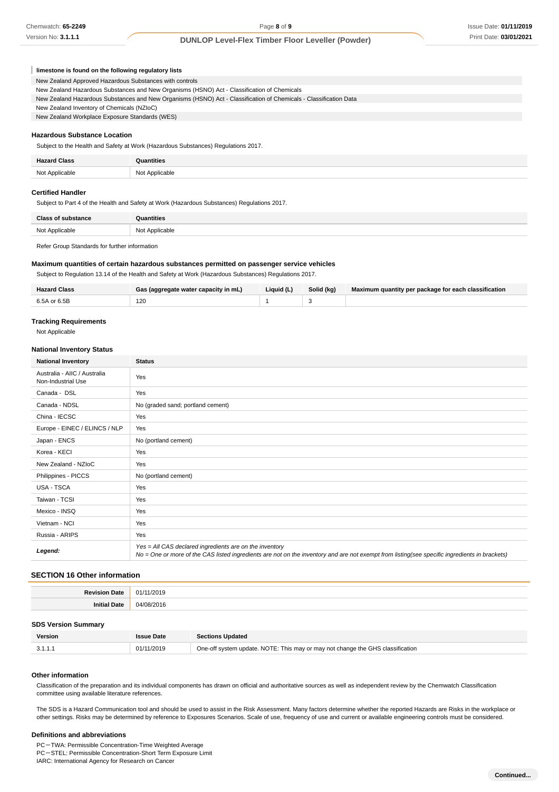|  |  | limestone is found on the following regulatory lists |  |
|--|--|------------------------------------------------------|--|
|--|--|------------------------------------------------------|--|

New Zealand Approved Hazardous Substances with controls

| New Zealand Hazardous Substances and New Organisms (HSNO) Act - Classification of Chemicals                       |
|-------------------------------------------------------------------------------------------------------------------|
| New Zealand Hazardous Substances and New Organisms (HSNO) Act - Classification of Chemicals - Classification Data |
| New Zealand Inventory of Chemicals (NZIoC)                                                                        |
| New Zealand Workplace Exposure Standards (WES)                                                                    |
|                                                                                                                   |

# **Hazardous Substance Location**

Subject to the Health and Safety at Work (Hazardous Substances) Regulations 2017.

| <b>Hazard Class</b> | mtities                         |
|---------------------|---------------------------------|
| Not Applicable      | : Applicable<br>N <sub>nt</sub> |

## **Certified Handler**

Subject to Part 4 of the Health and Safety at Work (Hazardous Substances) Regulations 2017.

| <b>Class of substance</b> | Quantities     |
|---------------------------|----------------|
| Not Applicable            | Not Applicable |
|                           |                |

Refer Group Standards for further information

# **Maximum quantities of certain hazardous substances permitted on passenger service vehicles**

Subject to Regulation 13.14 of the Health and Safety at Work (Hazardous Substances) Regulations 2017.

| <b>Hazard Class</b> | Gas (aggregate water capacity in mL) | Liquid (L) | Solid (kg) | Maximum quantity per package for each classification |
|---------------------|--------------------------------------|------------|------------|------------------------------------------------------|
| 6.5A or 6.5B        | 120                                  |            |            |                                                      |

#### **Tracking Requirements**

Not Applicable

#### **National Inventory Status**

| <b>National Inventory</b>                          | <b>Status</b>                                                                                                                                                                                            |
|----------------------------------------------------|----------------------------------------------------------------------------------------------------------------------------------------------------------------------------------------------------------|
| Australia - AIIC / Australia<br>Non-Industrial Use | Yes                                                                                                                                                                                                      |
| Canada - DSL                                       | Yes                                                                                                                                                                                                      |
| Canada - NDSL                                      | No (graded sand; portland cement)                                                                                                                                                                        |
| China - IECSC                                      | Yes                                                                                                                                                                                                      |
| Europe - EINEC / ELINCS / NLP                      | Yes                                                                                                                                                                                                      |
| Japan - ENCS                                       | No (portland cement)                                                                                                                                                                                     |
| Korea - KECI                                       | Yes                                                                                                                                                                                                      |
| New Zealand - NZIoC                                | Yes                                                                                                                                                                                                      |
| Philippines - PICCS                                | No (portland cement)                                                                                                                                                                                     |
| <b>USA - TSCA</b>                                  | Yes                                                                                                                                                                                                      |
| Taiwan - TCSI                                      | Yes                                                                                                                                                                                                      |
| Mexico - INSQ                                      | Yes                                                                                                                                                                                                      |
| Vietnam - NCI                                      | Yes                                                                                                                                                                                                      |
| Russia - ARIPS                                     | Yes                                                                                                                                                                                                      |
| Legend:                                            | Yes = All CAS declared ingredients are on the inventory<br>No = One or more of the CAS listed ingredients are not on the inventory and are not exempt from listing(see specific ingredients in brackets) |

# **SECTION 16 Other information**

| <b>Revision</b>     | 11/2019               |
|---------------------|-----------------------|
| Date                | 01/                   |
| <b>Initial Date</b> | $\Omega$<br>2016<br>. |

#### **SDS Version Summary**

| Version | : Date     | <b>Sections Updated</b>                                                        |
|---------|------------|--------------------------------------------------------------------------------|
| .<br>-  | 01/11/2019 | One-off system update. NOTE: This may or may not change the GHS classification |

#### **Other information**

Classification of the preparation and its individual components has drawn on official and authoritative sources as well as independent review by the Chemwatch Classification committee using available literature references.

The SDS is a Hazard Communication tool and should be used to assist in the Risk Assessment. Many factors determine whether the reported Hazards are Risks in the workplace or other settings. Risks may be determined by reference to Exposures Scenarios. Scale of use, frequency of use and current or available engineering controls must be considered.

#### **Definitions and abbreviations**

PC-TWA: Permissible Concentration-Time Weighted Average PC-STEL: Permissible Concentration-Short Term Exposure Limit

IARC: International Agency for Research on Cancer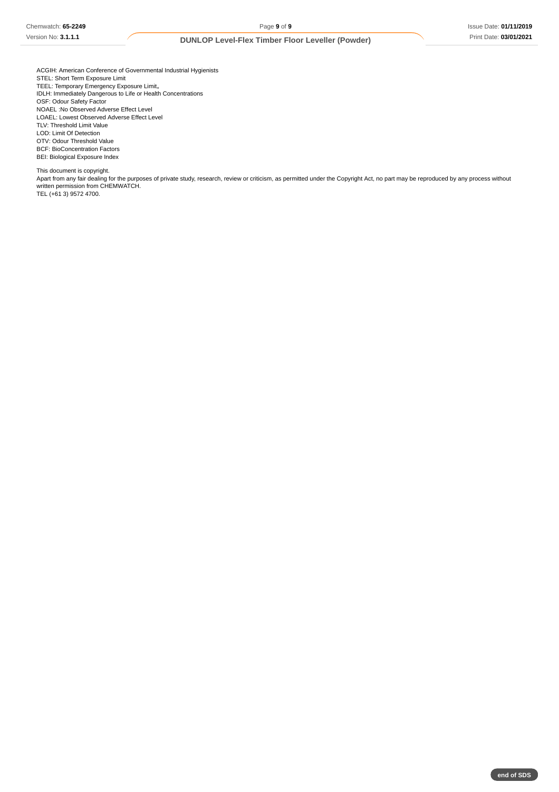ACGIH: American Conference of Governmental Industrial Hygienists STEL: Short Term Exposure Limit TEEL: Temporary Emergency Exposure Limit。 IDLH: Immediately Dangerous to Life or Health Concentrations OSF: Odour Safety Factor NOAEL :No Observed Adverse Effect Level LOAEL: Lowest Observed Adverse Effect Level TLV: Threshold Limit Value LOD: Limit Of Detection OTV: Odour Threshold Value BCF: BioConcentration Factors BEI: Biological Exposure Index

This document is copyright.

Apart from any fair dealing for the purposes of private study, research, review or criticism, as permitted under the Copyright Act, no part may be reproduced by any process without written permission from CHEMWATCH. TEL (+61 3) 9572 4700.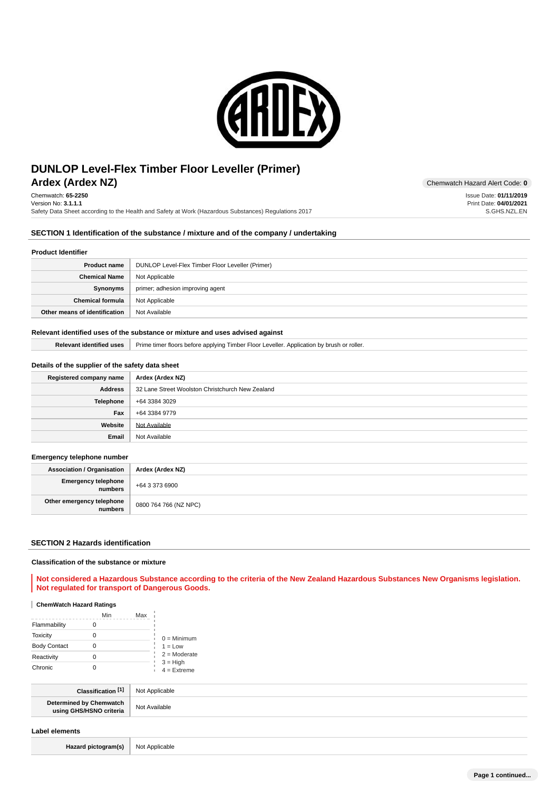

# **Ardex (Ardex NZ)** Chemwatch Hazard Alert Code: 0 **DUNLOP Level-Flex Timber Floor Leveller (Primer)**

Chemwatch: **65-2250** Version No: **3.1.1.1** Safety Data Sheet according to the Health and Safety at Work (Hazardous Substances) Regulations 2017

## **SECTION 1 Identification of the substance / mixture and of the company / undertaking**

#### **Product Identifier**

| <b>Product name</b>           | DUNLOP Level-Flex Timber Floor Leveller (Primer) |
|-------------------------------|--------------------------------------------------|
| <b>Chemical Name</b>          | Not Applicable                                   |
| Synonyms                      | primer; adhesion improving agent                 |
| <b>Chemical formula</b>       | Not Applicable                                   |
| Other means of identification | Not Available                                    |

## **Relevant identified uses of the substance or mixture and uses advised against**

Relevant identified uses | Prime timer floors before applying Timber Floor Leveller. Application by brush or roller.

# **Details of the supplier of the safety data sheet**

| Registered company name | Ardex (Ardex NZ)                                 |
|-------------------------|--------------------------------------------------|
| Address                 | 32 Lane Street Woolston Christchurch New Zealand |
| <b>Telephone</b>        | +64 3384 3029                                    |
| Fax                     | +64 3384 9779                                    |
| Website                 | Not Available                                    |
| Email                   | Not Available                                    |

## **Emergency telephone number**

| . .                                  |                       |
|--------------------------------------|-----------------------|
| <b>Association / Organisation</b>    | Ardex (Ardex NZ)      |
| Emergency telephone<br>numbers       | +64 3 373 6900        |
| Other emergency telephone<br>numbers | 0800 764 766 (NZ NPC) |

#### **SECTION 2 Hazards identification**

#### **Classification of the substance or mixture**

**Not considered a Hazardous Substance according to the criteria of the New Zealand Hazardous Substances New Organisms legislation. Not regulated for transport of Dangerous Goods.**

## **ChemWatch Hazard Ratings**

|                     | Min | Max |                             |
|---------------------|-----|-----|-----------------------------|
| Flammability        |     |     |                             |
| <b>Toxicity</b>     |     |     | $0 =$ Minimum               |
| <b>Body Contact</b> |     |     | $1 = Low$                   |
| Reactivity          |     |     | $2 =$ Moderate              |
| Chronic             |     |     | $3 = High$<br>$4 =$ Extreme |

| <b>F41</b>                                           | blicable<br>N <sub>O</sub> |
|------------------------------------------------------|----------------------------|
| ∵ิhemwatch<br>Determined by C<br>O criteria<br>usıng | No<br>H<br>- uildUl⊏       |

#### **Label elements**

Hazard pictogram(s) Not Applicable

Issue Date: **01/11/2019** Print Date: **04/01/2021** S.GHS.NZL.EN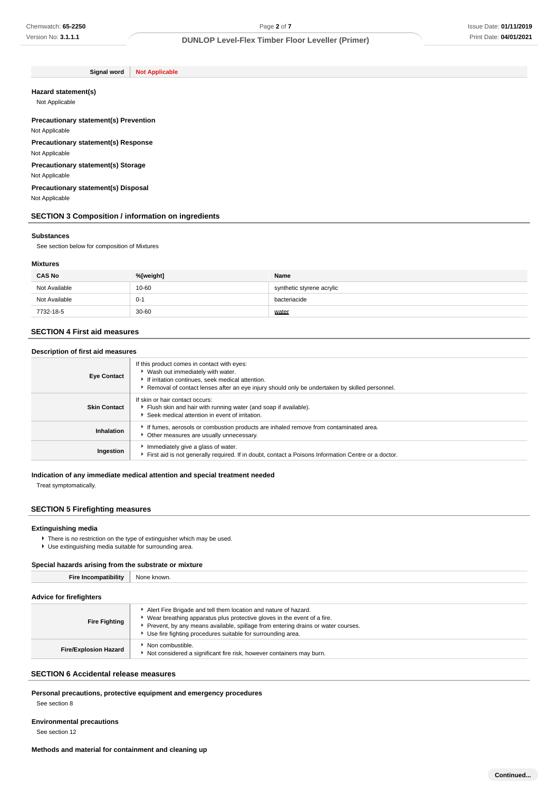**Signal word Not Applicable**

#### **Hazard statement(s)**

Not Applicable

#### **Precautionary statement(s) Prevention** Not Applicable

**Precautionary statement(s) Response** Not Applicable

**Precautionary statement(s) Storage**

Not Applicable

**Precautionary statement(s) Disposal** Not Applicable

## **SECTION 3 Composition / information on ingredients**

#### **Substances**

See section below for composition of Mixtures

# **Mixtures**

| <b>CAS No</b> | %[weight] | Name                      |
|---------------|-----------|---------------------------|
| Not Available | 10-60     | synthetic styrene acrylic |
| Not Available | $0-1$     | bacteriacide              |
| 7732-18-5     | 30-60     | water                     |

## **SECTION 4 First aid measures**

#### **Description of first aid measures**

| <b>Eye Contact</b>  | If this product comes in contact with eyes:<br>▶ Wash out immediately with water.<br>If irritation continues, seek medical attention.<br>Removal of contact lenses after an eye injury should only be undertaken by skilled personnel. |
|---------------------|----------------------------------------------------------------------------------------------------------------------------------------------------------------------------------------------------------------------------------------|
| <b>Skin Contact</b> | If skin or hair contact occurs:<br>Flush skin and hair with running water (and soap if available).<br>Seek medical attention in event of irritation.                                                                                   |
| Inhalation          | If fumes, aerosols or combustion products are inhaled remove from contaminated area.<br>Other measures are usually unnecessary.                                                                                                        |
| Ingestion           | Immediately give a glass of water.<br>First aid is not generally required. If in doubt, contact a Poisons Information Centre or a doctor.                                                                                              |

#### **Indication of any immediate medical attention and special treatment needed**

Treat symptomatically.

# **SECTION 5 Firefighting measures**

# **Extinguishing media**

- There is no restriction on the type of extinguisher which may be used.
- Use extinguishing media suitable for surrounding area.

#### **Special hazards arising from the substrate or mixture**

| <b>Fire Incompatibility</b>  | None known.                                                                                                                                                                                                                                                                                         |  |
|------------------------------|-----------------------------------------------------------------------------------------------------------------------------------------------------------------------------------------------------------------------------------------------------------------------------------------------------|--|
| Advice for firefighters      |                                                                                                                                                                                                                                                                                                     |  |
| <b>Fire Fighting</b>         | Alert Fire Brigade and tell them location and nature of hazard.<br>• Wear breathing apparatus plus protective gloves in the event of a fire.<br>▶ Prevent, by any means available, spillage from entering drains or water courses.<br>▶ Use fire fighting procedures suitable for surrounding area. |  |
| <b>Fire/Explosion Hazard</b> | Non combustible.<br>Not considered a significant fire risk, however containers may burn.                                                                                                                                                                                                            |  |

# **SECTION 6 Accidental release measures**

**Personal precautions, protective equipment and emergency procedures**

See section 8

# **Environmental precautions**

See section 12

# **Methods and material for containment and cleaning up**

**Continued...**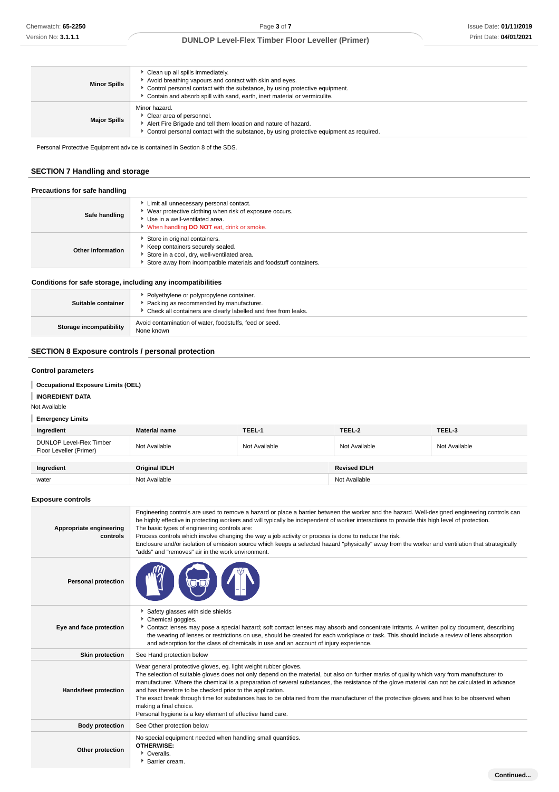| <b>Minor Spills</b> | Clean up all spills immediately.<br>Avoid breathing vapours and contact with skin and eyes.<br>► Control personal contact with the substance, by using protective equipment.<br>Contain and absorb spill with sand, earth, inert material or vermiculite. |
|---------------------|-----------------------------------------------------------------------------------------------------------------------------------------------------------------------------------------------------------------------------------------------------------|
| <b>Major Spills</b> | Minor hazard.<br>Clear area of personnel.<br>Alert Fire Brigade and tell them location and nature of hazard.<br>Control personal contact with the substance, by using protective equipment as required.                                                   |

Personal Protective Equipment advice is contained in Section 8 of the SDS.

# **SECTION 7 Handling and storage**

| Precautions for safe handling<br>Safe handling | Limit all unnecessary personal contact.<br>▶ Wear protective clothing when risk of exposure occurs.<br>Use in a well-ventilated area.<br>When handling DO NOT eat, drink or smoke.   |
|------------------------------------------------|--------------------------------------------------------------------------------------------------------------------------------------------------------------------------------------|
| Other information                              | Store in original containers.<br>Keep containers securely sealed.<br>Store in a cool, dry, well-ventilated area.<br>Store away from incompatible materials and foodstuff containers. |

# **Conditions for safe storage, including any incompatibilities**

| Suitable container             | • Polyethylene or polypropylene container.<br>Packing as recommended by manufacturer.<br>• Check all containers are clearly labelled and free from leaks. |
|--------------------------------|-----------------------------------------------------------------------------------------------------------------------------------------------------------|
| <b>Storage incompatibility</b> | Avoid contamination of water, foodstuffs, feed or seed.<br>None known                                                                                     |

# **SECTION 8 Exposure controls / personal protection**

# **Control parameters**

# **Occupational Exposure Limits (OEL)**

**INGREDIENT DATA**

Not Available

# **Emergency Limits**

| Ingredient                                                 | <b>Material name</b> | TEEL-1        | TEEL-2              | TEEL-3        |
|------------------------------------------------------------|----------------------|---------------|---------------------|---------------|
| <b>DUNLOP Level-Flex Timber</b><br>Floor Leveller (Primer) | Not Available        | Not Available | Not Available       | Not Available |
| Ingredient                                                 | <b>Original IDLH</b> |               | <b>Revised IDLH</b> |               |
| water                                                      | Not Available        |               | Not Available       |               |

## **Exposure controls**

| Appropriate engineering<br>controls | Engineering controls are used to remove a hazard or place a barrier between the worker and the hazard. Well-designed engineering controls can<br>be highly effective in protecting workers and will typically be independent of worker interactions to provide this high level of protection.<br>The basic types of engineering controls are:<br>Process controls which involve changing the way a job activity or process is done to reduce the risk.<br>Enclosure and/or isolation of emission source which keeps a selected hazard "physically" away from the worker and ventilation that strategically<br>"adds" and "removes" air in the work environment.   |
|-------------------------------------|-------------------------------------------------------------------------------------------------------------------------------------------------------------------------------------------------------------------------------------------------------------------------------------------------------------------------------------------------------------------------------------------------------------------------------------------------------------------------------------------------------------------------------------------------------------------------------------------------------------------------------------------------------------------|
| <b>Personal protection</b>          |                                                                                                                                                                                                                                                                                                                                                                                                                                                                                                                                                                                                                                                                   |
| Eye and face protection             | Safety glasses with side shields<br>Chemical goggles.<br>Contact lenses may pose a special hazard; soft contact lenses may absorb and concentrate irritants. A written policy document, describing<br>the wearing of lenses or restrictions on use, should be created for each workplace or task. This should include a review of lens absorption<br>and adsorption for the class of chemicals in use and an account of injury experience.                                                                                                                                                                                                                        |
| <b>Skin protection</b>              | See Hand protection below                                                                                                                                                                                                                                                                                                                                                                                                                                                                                                                                                                                                                                         |
| Hands/feet protection               | Wear general protective gloves, eg. light weight rubber gloves.<br>The selection of suitable gloves does not only depend on the material, but also on further marks of quality which vary from manufacturer to<br>manufacturer. Where the chemical is a preparation of several substances, the resistance of the glove material can not be calculated in advance<br>and has therefore to be checked prior to the application.<br>The exact break through time for substances has to be obtained from the manufacturer of the protective gloves and has to be observed when<br>making a final choice.<br>Personal hygiene is a key element of effective hand care. |
| <b>Body protection</b>              | See Other protection below                                                                                                                                                                                                                                                                                                                                                                                                                                                                                                                                                                                                                                        |
| Other protection                    | No special equipment needed when handling small quantities.<br><b>OTHERWISE:</b><br>• Overalls.<br>▶ Barrier cream.                                                                                                                                                                                                                                                                                                                                                                                                                                                                                                                                               |
|                                     | Continued                                                                                                                                                                                                                                                                                                                                                                                                                                                                                                                                                                                                                                                         |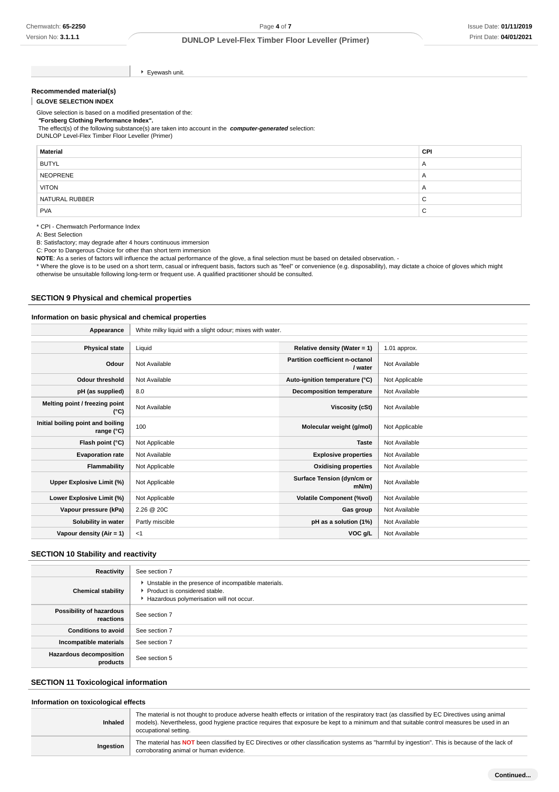Eyewash unit.

#### **Recommended material(s)**

**GLOVE SELECTION INDEX**

Glove selection is based on a modified presentation of the:  **"Forsberg Clothing Performance Index".** The effect(s) of the following substance(s) are taken into account in the **computer-generated** selection: DUNLOP Level-Flex Timber Floor Leveller (Primer)

| <b>Material</b> | <b>CPI</b>     |
|-----------------|----------------|
| <b>BUTYL</b>    | $\overline{A}$ |
| NEOPRENE        | $\overline{A}$ |
| <b>VITON</b>    | $\overline{A}$ |
| NATURAL RUBBER  | ~<br>ັ         |
| <b>PVA</b>      | ⌒<br>ັ         |

\* CPI - Chemwatch Performance Index

A: Best Selection

B: Satisfactory; may degrade after 4 hours continuous immersion

C: Poor to Dangerous Choice for other than short term immersion

NOTE: As a series of factors will influence the actual performance of the glove, a final selection must be based on detailed observation. -

\* Where the glove is to be used on a short term, casual or infrequent basis, factors such as "feel" or convenience (e.g. disposability), may dictate a choice of gloves which might otherwise be unsuitable following long-term or frequent use. A qualified practitioner should be consulted.

#### **SECTION 9 Physical and chemical properties**

## **Information on basic physical and chemical properties**

**Appearance** White milky liquid with a slight odour; mixes with water.

| <b>Physical state</b>                             | Liquid          | Relative density (Water = $1$ )            | 1.01 approx.   |
|---------------------------------------------------|-----------------|--------------------------------------------|----------------|
| Odour                                             | Not Available   | Partition coefficient n-octanol<br>/ water | Not Available  |
| Odour threshold                                   | Not Available   | Auto-ignition temperature (°C)             | Not Applicable |
| pH (as supplied)                                  | 8.0             | <b>Decomposition temperature</b>           | Not Available  |
| Melting point / freezing point<br>(°C)            | Not Available   | Viscosity (cSt)                            | Not Available  |
| Initial boiling point and boiling<br>range $(°C)$ | 100             | Molecular weight (g/mol)                   | Not Applicable |
| Flash point (°C)                                  | Not Applicable  | <b>Taste</b>                               | Not Available  |
| <b>Evaporation rate</b>                           | Not Available   | <b>Explosive properties</b>                | Not Available  |
| Flammability                                      | Not Applicable  | <b>Oxidising properties</b>                | Not Available  |
| Upper Explosive Limit (%)                         | Not Applicable  | Surface Tension (dyn/cm or<br>$mN/m$ )     | Not Available  |
| Lower Explosive Limit (%)                         | Not Applicable  | <b>Volatile Component (%vol)</b>           | Not Available  |
| Vapour pressure (kPa)                             | 2.26 @ 20C      | Gas group                                  | Not Available  |
| Solubility in water                               | Partly miscible | pH as a solution (1%)                      | Not Available  |
| Vapour density $(Air = 1)$                        | $<$ 1           | VOC g/L                                    | Not Available  |

## **SECTION 10 Stability and reactivity**

| Reactivity                                 | See section 7                                                                                                                        |
|--------------------------------------------|--------------------------------------------------------------------------------------------------------------------------------------|
| <b>Chemical stability</b>                  | • Unstable in the presence of incompatible materials.<br>▶ Product is considered stable.<br>Hazardous polymerisation will not occur. |
| Possibility of hazardous<br>reactions      | See section 7                                                                                                                        |
| <b>Conditions to avoid</b>                 | See section 7                                                                                                                        |
| Incompatible materials                     | See section 7                                                                                                                        |
| <b>Hazardous decomposition</b><br>products | See section 5                                                                                                                        |

# **SECTION 11 Toxicological information**

#### **Information on toxicological effects**

| <b>Inhaled</b> | The material is not thought to produce adverse health effects or irritation of the respiratory tract (as classified by EC Directives using animal<br>models). Nevertheless, good hygiene practice requires that exposure be kept to a minimum and that suitable control measures be used in an<br>occupational setting. |
|----------------|-------------------------------------------------------------------------------------------------------------------------------------------------------------------------------------------------------------------------------------------------------------------------------------------------------------------------|
| Ingestion      | The material has NOT been classified by EC Directives or other classification systems as "harmful by ingestion". This is because of the lack of<br>corroborating animal or human evidence.                                                                                                                              |
|                |                                                                                                                                                                                                                                                                                                                         |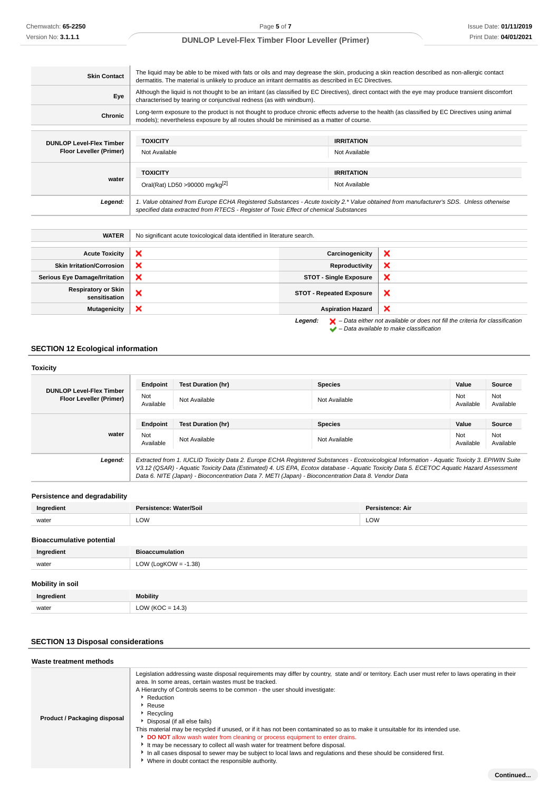| <b>Skin Contact</b>             | The liquid may be able to be mixed with fats or oils and may degrease the skin, producing a skin reaction described as non-allergic contact<br>dermatitis. The material is unlikely to produce an irritant dermatitis as described in EC Directives. |                   |
|---------------------------------|------------------------------------------------------------------------------------------------------------------------------------------------------------------------------------------------------------------------------------------------------|-------------------|
| Eye                             | Although the liquid is not thought to be an irritant (as classified by EC Directives), direct contact with the eye may produce transient discomfort<br>characterised by tearing or conjunctival redness (as with windburn).                          |                   |
| <b>Chronic</b>                  | Long-term exposure to the product is not thought to produce chronic effects adverse to the health (as classified by EC Directives using animal<br>models); nevertheless exposure by all routes should be minimised as a matter of course.            |                   |
|                                 |                                                                                                                                                                                                                                                      |                   |
| <b>DUNLOP Level-Flex Timber</b> | <b>TOXICITY</b>                                                                                                                                                                                                                                      | <b>IRRITATION</b> |
| Floor Leveller (Primer)         | Not Available                                                                                                                                                                                                                                        | Not Available     |
|                                 |                                                                                                                                                                                                                                                      |                   |
|                                 | <b>TOXICITY</b>                                                                                                                                                                                                                                      | <b>IRRITATION</b> |
| water                           | Oral(Rat) LD50 >90000 mg/kg <sup>[2]</sup>                                                                                                                                                                                                           | Not Available     |
| Legend:                         | 1. Value obtained from Europe ECHA Registered Substances - Acute toxicity 2.* Value obtained from manufacturer's SDS. Unless otherwise<br>specified data extracted from RTECS - Register of Toxic Effect of chemical Substances                      |                   |

| <b>WATER</b>                                | No significant acute toxicological data identified in literature search. |                                 |                                                                                                    |
|---------------------------------------------|--------------------------------------------------------------------------|---------------------------------|----------------------------------------------------------------------------------------------------|
|                                             |                                                                          |                                 |                                                                                                    |
| <b>Acute Toxicity</b>                       | ×                                                                        | Carcinogenicity                 | ×                                                                                                  |
| <b>Skin Irritation/Corrosion</b>            | ×                                                                        | Reproductivity                  | ×                                                                                                  |
| <b>Serious Eye Damage/Irritation</b>        | ×                                                                        | <b>STOT - Single Exposure</b>   | ×                                                                                                  |
| <b>Respiratory or Skin</b><br>sensitisation | ×                                                                        | <b>STOT - Repeated Exposure</b> | ×                                                                                                  |
| <b>Mutagenicity</b>                         | ×                                                                        | <b>Aspiration Hazard</b>        | ×                                                                                                  |
|                                             |                                                                          | Legend:                         | $\blacktriangleright$ - Data either not available or does not fill the criteria for classification |

#### – Data available to make classification

# **SECTION 12 Ecological information**

| <b>Toxicity</b>                                            |                  |                                                                                                                                                                                                                                                                                                                                                                                                 |                |                  |                  |
|------------------------------------------------------------|------------------|-------------------------------------------------------------------------------------------------------------------------------------------------------------------------------------------------------------------------------------------------------------------------------------------------------------------------------------------------------------------------------------------------|----------------|------------------|------------------|
|                                                            | Endpoint         | <b>Test Duration (hr)</b>                                                                                                                                                                                                                                                                                                                                                                       | <b>Species</b> | Value            | Source           |
| <b>DUNLOP Level-Flex Timber</b><br>Floor Leveller (Primer) | Not<br>Available | Not Available                                                                                                                                                                                                                                                                                                                                                                                   | Not Available  | Not<br>Available | Not<br>Available |
|                                                            | Endpoint         | <b>Test Duration (hr)</b>                                                                                                                                                                                                                                                                                                                                                                       | <b>Species</b> | Value            | Source           |
| water                                                      | Not<br>Available | Not Available                                                                                                                                                                                                                                                                                                                                                                                   | Not Available  | Not<br>Available | Not<br>Available |
| Legend:                                                    |                  | Extracted from 1. IUCLID Toxicity Data 2. Europe ECHA Registered Substances - Ecotoxicological Information - Aquatic Toxicity 3. EPIWIN Suite<br>V3.12 (QSAR) - Aquatic Toxicity Data (Estimated) 4. US EPA, Ecotox database - Aquatic Toxicity Data 5. ECETOC Aquatic Hazard Assessment<br>Data 6. NITE (Japan) - Bioconcentration Data 7. METI (Japan) - Bioconcentration Data 8. Vendor Data |                |                  |                  |

# **Persistence and degradability**

| Ingredient                       | Persistence: Water/Soil | Persistence: Air |
|----------------------------------|-------------------------|------------------|
| water                            | LOW                     | LOW              |
| <b>Bioaccumulative potential</b> |                         |                  |
| Ingredient                       | <b>Bioaccumulation</b>  |                  |
| water                            | LOW (LogKOW = $-1.38$ ) |                  |
| <b>Mobility in soil</b>          |                         |                  |
| Ingredient                       | <b>Mobility</b>         |                  |
| water                            | LOW ( $KOC = 14.3$ )    |                  |

# **SECTION 13 Disposal considerations**

| Waste treatment methods      |                                                                                                                                                                                                                                                                                                                                                                                                                                                                                                                                                                                                                                                                                                                                                                                                                                                                             |
|------------------------------|-----------------------------------------------------------------------------------------------------------------------------------------------------------------------------------------------------------------------------------------------------------------------------------------------------------------------------------------------------------------------------------------------------------------------------------------------------------------------------------------------------------------------------------------------------------------------------------------------------------------------------------------------------------------------------------------------------------------------------------------------------------------------------------------------------------------------------------------------------------------------------|
| Product / Packaging disposal | Legislation addressing waste disposal requirements may differ by country, state and/ or territory. Each user must refer to laws operating in their<br>area. In some areas, certain wastes must be tracked.<br>A Hierarchy of Controls seems to be common - the user should investigate:<br>Reduction<br>$\cdot$ Reuse<br>$\blacktriangleright$ Recvoling<br>Disposal (if all else fails)<br>This material may be recycled if unused, or if it has not been contaminated so as to make it unsuitable for its intended use.<br><b>DO NOT</b> allow wash water from cleaning or process equipment to enter drains.<br>It may be necessary to collect all wash water for treatment before disposal.<br>In all cases disposal to sewer may be subject to local laws and regulations and these should be considered first.<br>• Where in doubt contact the responsible authority. |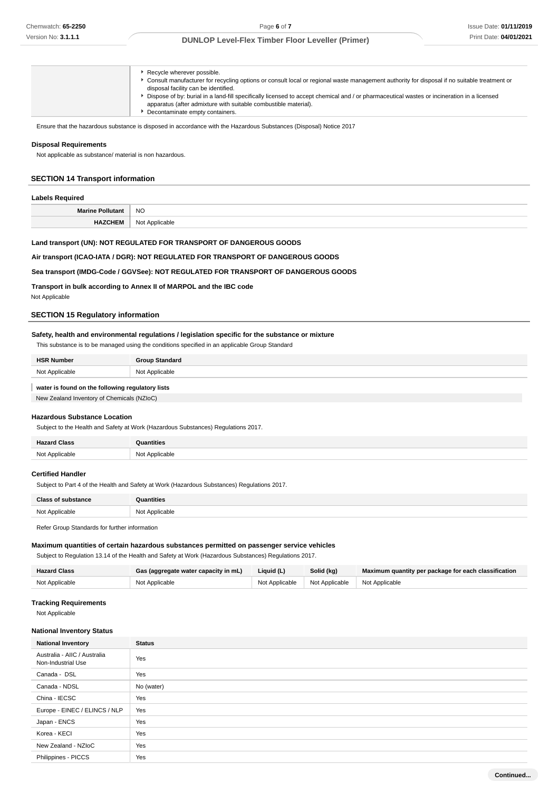| Decontaminate empty containers. |
|---------------------------------|
|---------------------------------|

Ensure that the hazardous substance is disposed in accordance with the Hazardous Substances (Disposal) Notice 2017

#### **Disposal Requirements**

Not applicable as substance/ material is non hazardous.

# **SECTION 14 Transport information**

## **Labels Required**

| M.<br>w | NC.   |
|---------|-------|
| --      | imnii |

# **Land transport (UN): NOT REGULATED FOR TRANSPORT OF DANGEROUS GOODS**

## **Air transport (ICAO-IATA / DGR): NOT REGULATED FOR TRANSPORT OF DANGEROUS GOODS**

## **Sea transport (IMDG-Code / GGVSee): NOT REGULATED FOR TRANSPORT OF DANGEROUS GOODS**

**Transport in bulk according to Annex II of MARPOL and the IBC code**

Not Applicable

#### **SECTION 15 Regulatory information**

## **Safety, health and environmental regulations / legislation specific for the substance or mixture**

This substance is to be managed using the conditions specified in an applicable Group Standard

| <b>HSR Number</b> | <b>Group Standard</b> |
|-------------------|-----------------------|
| Not Applicable    | Not Applicable        |
|                   |                       |

# **water is found on the following regulatory lists**

New Zealand Inventory of Chemicals (NZIoC)

# **Hazardous Substance Location**

Subject to the Health and Safety at Work (Hazardous Substances) Regulations 2017.

| <b>Hazard Class</b><br>ыазэ | <b>Quantities</b> |
|-----------------------------|-------------------|
| Not Applicable              | Not Applicable    |

#### **Certified Handler**

Subject to Part 4 of the Health and Safety at Work (Hazardous Substances) Regulations 2017.

| <b>Class of substance</b> | Quantities     |
|---------------------------|----------------|
| Not Applicable            | Not Applicable |
|                           |                |

Refer Group Standards for further information

#### **Maximum quantities of certain hazardous substances permitted on passenger service vehicles**

Subject to Regulation 13.14 of the Health and Safety at Work (Hazardous Substances) Regulations 2017.

| <b>Hazard Class</b> | Gas (aggregate water capacity in mL) | Liquid (L) | Solid (kg)                                       | Maximum quantity per package for each classification |
|---------------------|--------------------------------------|------------|--------------------------------------------------|------------------------------------------------------|
| Not Applicable      | Not Applicable                       |            | Not Applicable   Not Applicable   Not Applicable |                                                      |

#### **Tracking Requirements**

Not Applicable

#### **National Inventory Status**

| <b>National Inventory</b>                          | <b>Status</b> |
|----------------------------------------------------|---------------|
| Australia - AIIC / Australia<br>Non-Industrial Use | Yes           |
| Canada - DSL                                       | Yes           |
| Canada - NDSL                                      | No (water)    |
| China - IECSC                                      | Yes           |
| Europe - EINEC / ELINCS / NLP                      | Yes           |
| Japan - ENCS                                       | Yes           |
| Korea - KECI                                       | Yes           |
| New Zealand - NZIoC                                | Yes           |
| Philippines - PICCS                                | Yes           |